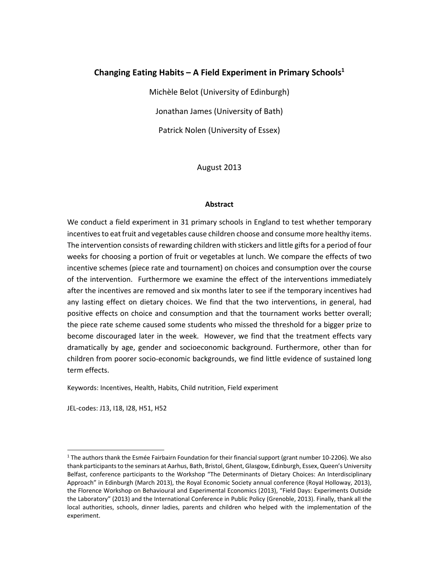## **Changing Eating Habits – A Field Experiment in Primary Schools1**

Michèle Belot (University of Edinburgh) Jonathan James (University of Bath) Patrick Nolen (University of Essex)

August 2013

## **Abstract**

We conduct a field experiment in 31 primary schools in England to test whether temporary incentives to eat fruit and vegetables cause children choose and consume more healthy items. The intervention consists of rewarding children with stickers and little gifts for a period of four weeks for choosing a portion of fruit or vegetables at lunch. We compare the effects of two incentive schemes (piece rate and tournament) on choices and consumption over the course of the intervention. Furthermore we examine the effect of the interventions immediately after the incentives are removed and six months later to see if the temporary incentives had any lasting effect on dietary choices. We find that the two interventions, in general, had positive effects on choice and consumption and that the tournament works better overall; the piece rate scheme caused some students who missed the threshold for a bigger prize to become discouraged later in the week. However, we find that the treatment effects vary dramatically by age, gender and socioeconomic background. Furthermore, other than for children from poorer socio‐economic backgrounds, we find little evidence of sustained long term effects.

Keywords: Incentives, Health, Habits, Child nutrition, Field experiment

JEL‐codes: J13, I18, I28, H51, H52

<sup>1</sup> The authors thank the Esmée Fairbairn Foundation for their financial support (grant number 10‐2206). We also thank participants to the seminars at Aarhus, Bath, Bristol, Ghent, Glasgow, Edinburgh, Essex, Queen's University Belfast, conference participants to the Workshop "The Determinants of Dietary Choices: An Interdisciplinary Approach" in Edinburgh (March 2013), the Royal Economic Society annual conference (Royal Holloway, 2013), the Florence Workshop on Behavioural and Experimental Economics (2013), "Field Days: Experiments Outside the Laboratory" (2013) and the International Conference in Public Policy (Grenoble, 2013). Finally, thank all the local authorities, schools, dinner ladies, parents and children who helped with the implementation of the experiment.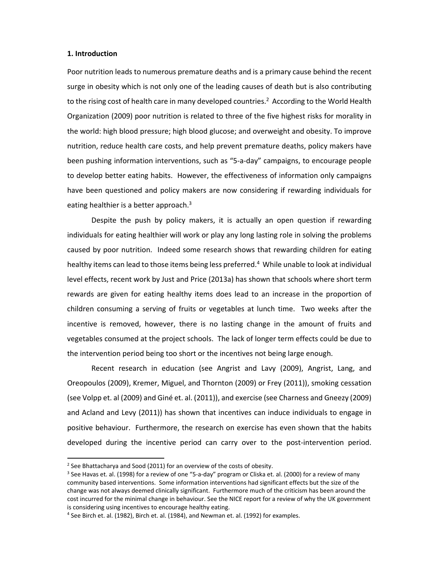## **1. Introduction**

Poor nutrition leads to numerous premature deaths and is a primary cause behind the recent surge in obesity which is not only one of the leading causes of death but is also contributing to the rising cost of health care in many developed countries.<sup>2</sup> According to the World Health Organization (2009) poor nutrition is related to three of the five highest risks for morality in the world: high blood pressure; high blood glucose; and overweight and obesity. To improve nutrition, reduce health care costs, and help prevent premature deaths, policy makers have been pushing information interventions, such as "5‐a‐day" campaigns, to encourage people to develop better eating habits. However, the effectiveness of information only campaigns have been questioned and policy makers are now considering if rewarding individuals for eating healthier is a better approach. $3$ 

Despite the push by policy makers, it is actually an open question if rewarding individuals for eating healthier will work or play any long lasting role in solving the problems caused by poor nutrition. Indeed some research shows that rewarding children for eating healthy items can lead to those items being less preferred.<sup>4</sup> While unable to look at individual level effects, recent work by Just and Price (2013a) has shown that schools where short term rewards are given for eating healthy items does lead to an increase in the proportion of children consuming a serving of fruits or vegetables at lunch time. Two weeks after the incentive is removed, however, there is no lasting change in the amount of fruits and vegetables consumed at the project schools. The lack of longer term effects could be due to the intervention period being too short or the incentives not being large enough.

Recent research in education (see Angrist and Lavy (2009), Angrist, Lang, and Oreopoulos (2009), Kremer, Miguel, and Thornton (2009) or Frey (2011)), smoking cessation (see Volpp et. al (2009) and Giné et. al. (2011)), and exercise (see Charness and Gneezy (2009) and Acland and Levy (2011)) has shown that incentives can induce individuals to engage in positive behaviour. Furthermore, the research on exercise has even shown that the habits developed during the incentive period can carry over to the post-intervention period.

 $2$  See Bhattacharya and Sood (2011) for an overview of the costs of obesity.

<sup>&</sup>lt;sup>3</sup> See Havas et. al. (1998) for a review of one "5-a-day" program or Cliska et. al. (2000) for a review of many community based interventions. Some information interventions had significant effects but the size of the change was not always deemed clinically significant. Furthermore much of the criticism has been around the cost incurred for the minimal change in behaviour. See the NICE report for a review of why the UK government is considering using incentives to encourage healthy eating.

<sup>4</sup> See Birch et. al. (1982), Birch et. al. (1984), and Newman et. al. (1992) for examples.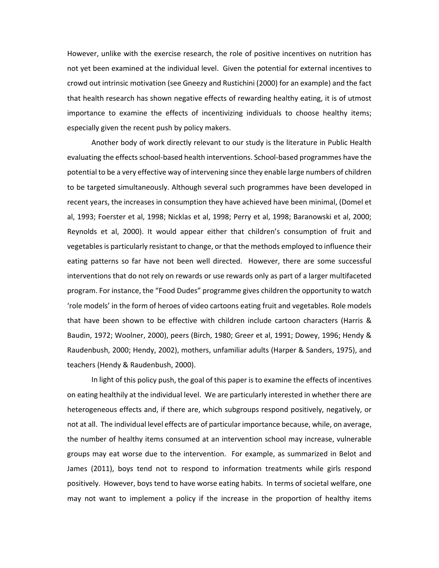However, unlike with the exercise research, the role of positive incentives on nutrition has not yet been examined at the individual level. Given the potential for external incentives to crowd out intrinsic motivation (see Gneezy and Rustichini (2000) for an example) and the fact that health research has shown negative effects of rewarding healthy eating, it is of utmost importance to examine the effects of incentivizing individuals to choose healthy items; especially given the recent push by policy makers.

Another body of work directly relevant to our study is the literature in Public Health evaluating the effects school‐based health interventions. School‐based programmes have the potential to be a very effective way of intervening since they enable large numbers of children to be targeted simultaneously. Although several such programmes have been developed in recent years, the increases in consumption they have achieved have been minimal, (Domel et al, 1993; Foerster et al, 1998; Nicklas et al, 1998; Perry et al, 1998; Baranowski et al, 2000; Reynolds et al, 2000). It would appear either that children's consumption of fruit and vegetables is particularly resistant to change, or that the methods employed to influence their eating patterns so far have not been well directed. However, there are some successful interventions that do not rely on rewards or use rewards only as part of a larger multifaceted program. For instance, the "Food Dudes" programme gives children the opportunity to watch 'role models' in the form of heroes of video cartoons eating fruit and vegetables. Role models that have been shown to be effective with children include cartoon characters (Harris & Baudin, 1972; Woolner, 2000), peers (Birch, 1980; Greer et al, 1991; Dowey, 1996; Hendy & Raudenbush, 2000; Hendy, 2002), mothers, unfamiliar adults (Harper & Sanders, 1975), and teachers (Hendy & Raudenbush, 2000).

In light of this policy push, the goal of this paper is to examine the effects of incentives on eating healthily at the individual level. We are particularly interested in whether there are heterogeneous effects and, if there are, which subgroups respond positively, negatively, or not at all. The individual level effects are of particular importance because, while, on average, the number of healthy items consumed at an intervention school may increase, vulnerable groups may eat worse due to the intervention. For example, as summarized in Belot and James (2011), boys tend not to respond to information treatments while girls respond positively. However, boys tend to have worse eating habits. In terms of societal welfare, one may not want to implement a policy if the increase in the proportion of healthy items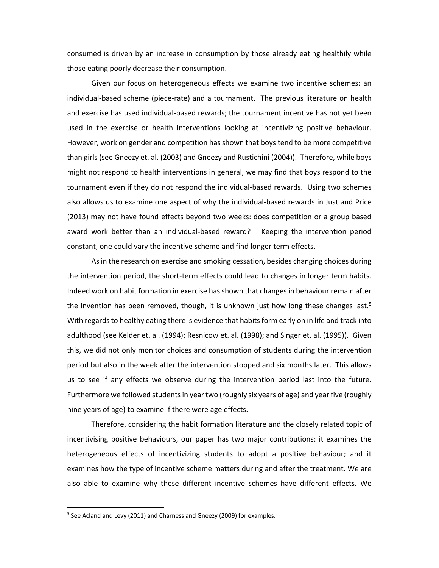consumed is driven by an increase in consumption by those already eating healthily while those eating poorly decrease their consumption.

Given our focus on heterogeneous effects we examine two incentive schemes: an individual-based scheme (piece-rate) and a tournament. The previous literature on health and exercise has used individual‐based rewards; the tournament incentive has not yet been used in the exercise or health interventions looking at incentivizing positive behaviour. However, work on gender and competition has shown that boys tend to be more competitive than girls (see Gneezy et. al. (2003) and Gneezy and Rustichini (2004)). Therefore, while boys might not respond to health interventions in general, we may find that boys respond to the tournament even if they do not respond the individual‐based rewards. Using two schemes also allows us to examine one aspect of why the individual‐based rewards in Just and Price (2013) may not have found effects beyond two weeks: does competition or a group based award work better than an individual‐based reward? Keeping the intervention period constant, one could vary the incentive scheme and find longer term effects.

As in the research on exercise and smoking cessation, besides changing choices during the intervention period, the short-term effects could lead to changes in longer term habits. Indeed work on habit formation in exercise has shown that changes in behaviour remain after the invention has been removed, though, it is unknown just how long these changes last.<sup>5</sup> With regards to healthy eating there is evidence that habits form early on in life and track into adulthood (see Kelder et. al. (1994); Resnicow et. al. (1998); and Singer et. al. (1995)). Given this, we did not only monitor choices and consumption of students during the intervention period but also in the week after the intervention stopped and six months later. This allows us to see if any effects we observe during the intervention period last into the future. Furthermore we followed studentsin year two (roughly six years of age) and year five (roughly nine years of age) to examine if there were age effects.

Therefore, considering the habit formation literature and the closely related topic of incentivising positive behaviours, our paper has two major contributions: it examines the heterogeneous effects of incentivizing students to adopt a positive behaviour; and it examines how the type of incentive scheme matters during and after the treatment. We are also able to examine why these different incentive schemes have different effects. We

<sup>&</sup>lt;sup>5</sup> See Acland and Levy (2011) and Charness and Gneezy (2009) for examples.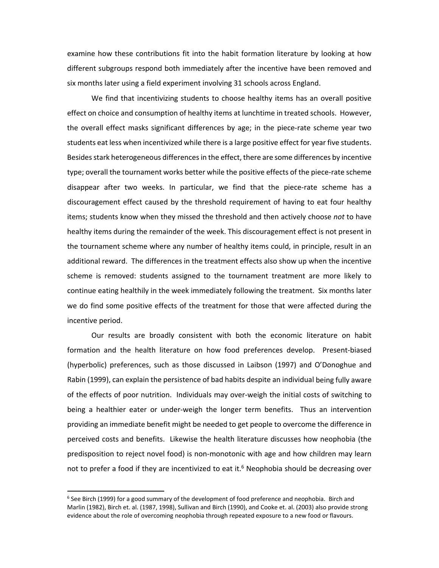examine how these contributions fit into the habit formation literature by looking at how different subgroups respond both immediately after the incentive have been removed and six months later using a field experiment involving 31 schools across England.

We find that incentivizing students to choose healthy items has an overall positive effect on choice and consumption of healthy items at lunchtime in treated schools. However, the overall effect masks significant differences by age; in the piece-rate scheme year two students eat less when incentivized while there is a large positive effect for year five students. Besides stark heterogeneous differences in the effect, there are some differences by incentive type; overall the tournament works better while the positive effects of the piece-rate scheme disappear after two weeks. In particular, we find that the piece‐rate scheme has a discouragement effect caused by the threshold requirement of having to eat four healthy items; students know when they missed the threshold and then actively choose *not* to have healthy items during the remainder of the week. This discouragement effect is not present in the tournament scheme where any number of healthy items could, in principle, result in an additional reward. The differences in the treatment effects also show up when the incentive scheme is removed: students assigned to the tournament treatment are more likely to continue eating healthily in the week immediately following the treatment. Six months later we do find some positive effects of the treatment for those that were affected during the incentive period.

Our results are broadly consistent with both the economic literature on habit formation and the health literature on how food preferences develop. Present-biased (hyperbolic) preferences, such as those discussed in Laibson (1997) and O'Donoghue and Rabin (1999), can explain the persistence of bad habits despite an individual being fully aware of the effects of poor nutrition. Individuals may over‐weigh the initial costs of switching to being a healthier eater or under-weigh the longer term benefits. Thus an intervention providing an immediate benefit might be needed to get people to overcome the difference in perceived costs and benefits. Likewise the health literature discusses how neophobia (the predisposition to reject novel food) is non‐monotonic with age and how children may learn not to prefer a food if they are incentivized to eat it.<sup>6</sup> Neophobia should be decreasing over

 $6$  See Birch (1999) for a good summary of the development of food preference and neophobia. Birch and Marlin (1982), Birch et. al. (1987, 1998), Sullivan and Birch (1990), and Cooke et. al. (2003) also provide strong evidence about the role of overcoming neophobia through repeated exposure to a new food or flavours.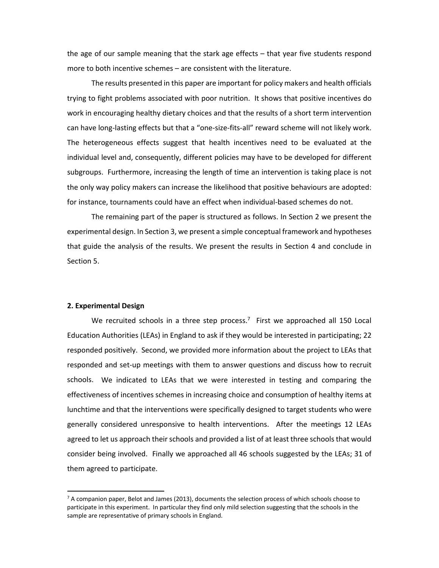the age of our sample meaning that the stark age effects – that year five students respond more to both incentive schemes – are consistent with the literature.

The results presented in this paper are important for policy makers and health officials trying to fight problems associated with poor nutrition. It shows that positive incentives do work in encouraging healthy dietary choices and that the results of a short term intervention can have long-lasting effects but that a "one-size-fits-all" reward scheme will not likely work. The heterogeneous effects suggest that health incentives need to be evaluated at the individual level and, consequently, different policies may have to be developed for different subgroups. Furthermore, increasing the length of time an intervention is taking place is not the only way policy makers can increase the likelihood that positive behaviours are adopted: for instance, tournaments could have an effect when individual‐based schemes do not.

The remaining part of the paper is structured as follows. In Section 2 we present the experimental design. In Section 3, we present a simple conceptual framework and hypotheses that guide the analysis of the results. We present the results in Section 4 and conclude in Section 5.

## **2. Experimental Design**

We recruited schools in a three step process.<sup>7</sup> First we approached all 150 Local Education Authorities (LEAs) in England to ask if they would be interested in participating; 22 responded positively. Second, we provided more information about the project to LEAs that responded and set‐up meetings with them to answer questions and discuss how to recruit schools. We indicated to LEAs that we were interested in testing and comparing the effectiveness of incentives schemes in increasing choice and consumption of healthy items at lunchtime and that the interventions were specifically designed to target students who were generally considered unresponsive to health interventions. After the meetings 12 LEAs agreed to let us approach their schools and provided a list of at least three schools that would consider being involved. Finally we approached all 46 schools suggested by the LEAs; 31 of them agreed to participate.

 $7$  A companion paper, Belot and James (2013), documents the selection process of which schools choose to participate in this experiment. In particular they find only mild selection suggesting that the schools in the sample are representative of primary schools in England.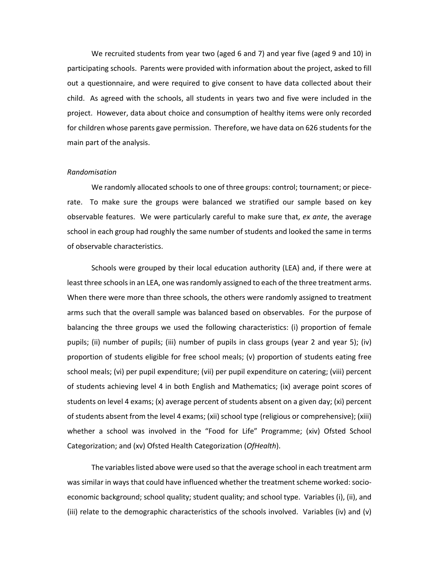We recruited students from year two (aged 6 and 7) and year five (aged 9 and 10) in participating schools. Parents were provided with information about the project, asked to fill out a questionnaire, and were required to give consent to have data collected about their child. As agreed with the schools, all students in years two and five were included in the project. However, data about choice and consumption of healthy items were only recorded for children whose parents gave permission. Therefore, we have data on 626 students for the main part of the analysis.

#### *Randomisation*

We randomly allocated schools to one of three groups: control; tournament; or piecerate. To make sure the groups were balanced we stratified our sample based on key observable features. We were particularly careful to make sure that, *ex ante*, the average school in each group had roughly the same number of students and looked the same in terms of observable characteristics.

Schools were grouped by their local education authority (LEA) and, if there were at least three schools in an LEA, one was randomly assigned to each of the three treatment arms. When there were more than three schools, the others were randomly assigned to treatment arms such that the overall sample was balanced based on observables. For the purpose of balancing the three groups we used the following characteristics: (i) proportion of female pupils; (ii) number of pupils; (iii) number of pupils in class groups (year 2 and year 5); (iv) proportion of students eligible for free school meals; (v) proportion of students eating free school meals; (vi) per pupil expenditure; (vii) per pupil expenditure on catering; (viii) percent of students achieving level 4 in both English and Mathematics; (ix) average point scores of students on level 4 exams; (x) average percent of students absent on a given day; (xi) percent of students absent from the level 4 exams; (xii) school type (religious or comprehensive); (xiii) whether a school was involved in the "Food for Life" Programme; (xiv) Ofsted School Categorization; and (xv) Ofsted Health Categorization (*OfHealth*).

The variables listed above were used so that the average school in each treatment arm was similar in ways that could have influenced whether the treatment scheme worked: socioeconomic background; school quality; student quality; and school type. Variables (i), (ii), and (iii) relate to the demographic characteristics of the schools involved. Variables (iv) and (v)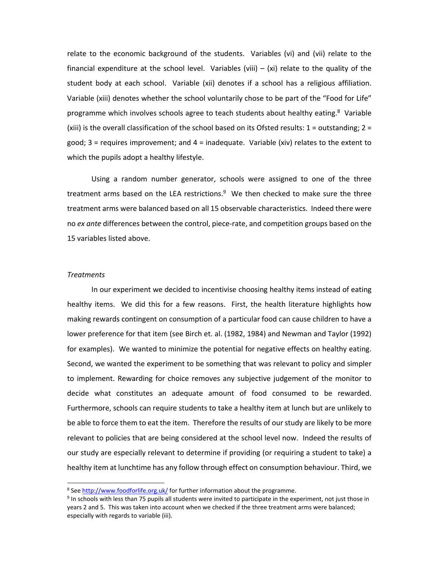relate to the economic background of the students. Variables (vi) and (vii) relate to the financial expenditure at the school level. Variables (viii)  $-$  (xi) relate to the quality of the student body at each school. Variable (xii) denotes if a school has a religious affiliation. Variable (xiii) denotes whether the school voluntarily chose to be part of the "Food for Life" programme which involves schools agree to teach students about healthy eating.<sup>8</sup> Variable (xiii) is the overall classification of the school based on its Ofsted results:  $1 =$  outstanding;  $2 =$ good; 3 = requires improvement; and 4 = inadequate. Variable (xiv) relates to the extent to which the pupils adopt a healthy lifestyle.

Using a random number generator, schools were assigned to one of the three treatment arms based on the LEA restrictions.<sup>9</sup> We then checked to make sure the three treatment arms were balanced based on all 15 observable characteristics. Indeed there were no *ex ante* differences between the control, piece‐rate, and competition groups based on the 15 variables listed above.

## *Treatments*

In our experiment we decided to incentivise choosing healthy items instead of eating healthy items. We did this for a few reasons. First, the health literature highlights how making rewards contingent on consumption of a particular food can cause children to have a lower preference for that item (see Birch et. al. (1982, 1984) and Newman and Taylor (1992) for examples). We wanted to minimize the potential for negative effects on healthy eating. Second, we wanted the experiment to be something that was relevant to policy and simpler to implement. Rewarding for choice removes any subjective judgement of the monitor to decide what constitutes an adequate amount of food consumed to be rewarded. Furthermore, schools can require students to take a healthy item at lunch but are unlikely to be able to force them to eat the item. Therefore the results of our study are likely to be more relevant to policies that are being considered at the school level now. Indeed the results of our study are especially relevant to determine if providing (or requiring a student to take) a healthy item at lunchtime has any follow through effect on consumption behaviour. Third, we

<sup>&</sup>lt;sup>8</sup> See http://www.foodforlife.org.uk/ for further information about the programme.

 $9$  In schools with less than 75 pupils all students were invited to participate in the experiment, not just those in years 2 and 5. This was taken into account when we checked if the three treatment arms were balanced; especially with regards to variable (iii).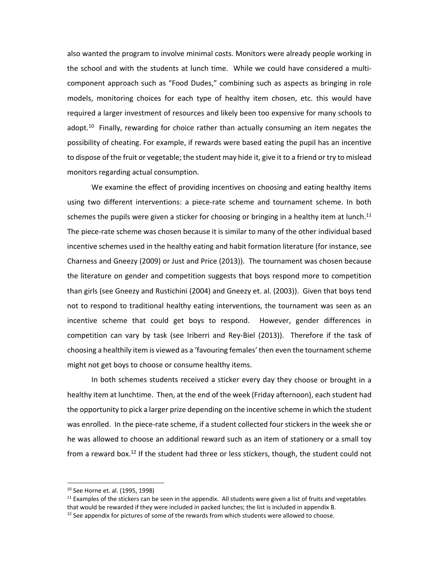also wanted the program to involve minimal costs. Monitors were already people working in the school and with the students at lunch time. While we could have considered a multi‐ component approach such as "Food Dudes," combining such as aspects as bringing in role models, monitoring choices for each type of healthy item chosen, etc. this would have required a larger investment of resources and likely been too expensive for many schools to adopt.<sup>10</sup> Finally, rewarding for choice rather than actually consuming an item negates the possibility of cheating. For example, if rewards were based eating the pupil has an incentive to dispose of the fruit or vegetable; the student may hide it, give it to a friend or try to mislead monitors regarding actual consumption.

We examine the effect of providing incentives on choosing and eating healthy items using two different interventions: a piece-rate scheme and tournament scheme. In both schemes the pupils were given a sticker for choosing or bringing in a healthy item at lunch.<sup>11</sup> The piece-rate scheme was chosen because it is similar to many of the other individual based incentive schemes used in the healthy eating and habit formation literature (for instance, see Charness and Gneezy (2009) or Just and Price (2013)). The tournament was chosen because the literature on gender and competition suggests that boys respond more to competition than girls (see Gneezy and Rustichini (2004) and Gneezy et. al. (2003)). Given that boys tend not to respond to traditional healthy eating interventions, the tournament was seen as an incentive scheme that could get boys to respond. However, gender differences in competition can vary by task (see Iriberri and Rey-Biel (2013)). Therefore if the task of choosing a healthily item is viewed as a 'favouring females' then even the tournament scheme might not get boys to choose or consume healthy items.

In both schemes students received a sticker every day they choose or brought in a healthy item at lunchtime. Then, at the end of the week (Friday afternoon), each student had the opportunity to pick a larger prize depending on the incentive scheme in which the student was enrolled. In the piece-rate scheme, if a student collected four stickers in the week she or he was allowed to choose an additional reward such as an item of stationery or a small toy from a reward box.<sup>12</sup> If the student had three or less stickers, though, the student could not

<sup>10</sup> See Horne et. al. (1995, 1998)

 $11$  Examples of the stickers can be seen in the appendix. All students were given a list of fruits and vegetables that would be rewarded if they were included in packed lunches; the list is included in appendix B.

 $12$  See appendix for pictures of some of the rewards from which students were allowed to choose.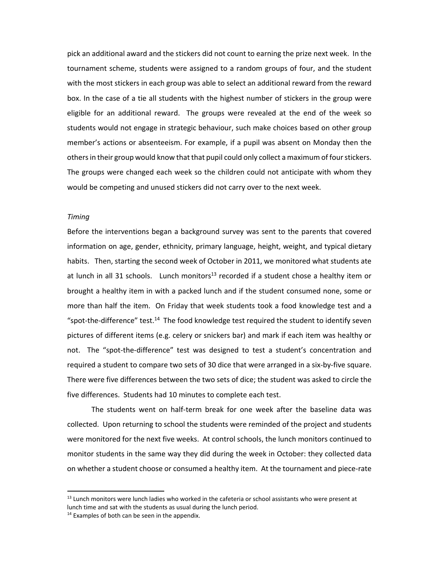pick an additional award and the stickers did not count to earning the prize next week. In the tournament scheme, students were assigned to a random groups of four, and the student with the most stickers in each group was able to select an additional reward from the reward box. In the case of a tie all students with the highest number of stickers in the group were eligible for an additional reward. The groups were revealed at the end of the week so students would not engage in strategic behaviour, such make choices based on other group member's actions or absenteeism. For example, if a pupil was absent on Monday then the others in their group would know that that pupil could only collect a maximum of four stickers. The groups were changed each week so the children could not anticipate with whom they would be competing and unused stickers did not carry over to the next week.

## *Timing*

Before the interventions began a background survey was sent to the parents that covered information on age, gender, ethnicity, primary language, height, weight, and typical dietary habits. Then, starting the second week of October in 2011, we monitored what students ate at lunch in all 31 schools. Lunch monitors<sup>13</sup> recorded if a student chose a healthy item or brought a healthy item in with a packed lunch and if the student consumed none, some or more than half the item. On Friday that week students took a food knowledge test and a "spot-the-difference" test.<sup>14</sup> The food knowledge test required the student to identify seven pictures of different items (e.g. celery or snickers bar) and mark if each item was healthy or not. The "spot-the-difference" test was designed to test a student's concentration and required a student to compare two sets of 30 dice that were arranged in a six‐by‐five square. There were five differences between the two sets of dice; the student was asked to circle the five differences. Students had 10 minutes to complete each test.

The students went on half-term break for one week after the baseline data was collected. Upon returning to school the students were reminded of the project and students were monitored for the next five weeks. At control schools, the lunch monitors continued to monitor students in the same way they did during the week in October: they collected data on whether a student choose or consumed a healthy item. At the tournament and piece‐rate

<sup>&</sup>lt;sup>13</sup> Lunch monitors were lunch ladies who worked in the cafeteria or school assistants who were present at lunch time and sat with the students as usual during the lunch period.

 $14$  Examples of both can be seen in the appendix.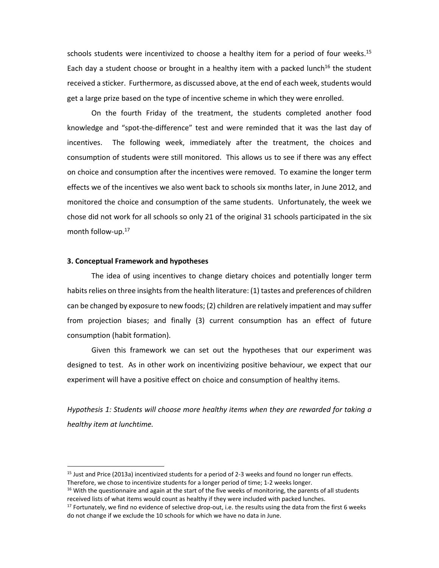schools students were incentivized to choose a healthy item for a period of four weeks.<sup>15</sup> Each day a student choose or brought in a healthy item with a packed lunch<sup>16</sup> the student received a sticker. Furthermore, as discussed above, at the end of each week, students would get a large prize based on the type of incentive scheme in which they were enrolled.

On the fourth Friday of the treatment, the students completed another food knowledge and "spot‐the‐difference" test and were reminded that it was the last day of incentives. The following week, immediately after the treatment, the choices and consumption of students were still monitored. This allows us to see if there was any effect on choice and consumption after the incentives were removed. To examine the longer term effects we of the incentives we also went back to schools six months later, in June 2012, and monitored the choice and consumption of the same students. Unfortunately, the week we chose did not work for all schools so only 21 of the original 31 schools participated in the six month follow-up.<sup>17</sup>

### **3. Conceptual Framework and hypotheses**

The idea of using incentives to change dietary choices and potentially longer term habits relies on three insights from the health literature: (1) tastes and preferences of children can be changed by exposure to new foods; (2) children are relatively impatient and may suffer from projection biases; and finally (3) current consumption has an effect of future consumption (habit formation).

Given this framework we can set out the hypotheses that our experiment was designed to test. As in other work on incentivizing positive behaviour, we expect that our experiment will have a positive effect on choice and consumption of healthy items.

*Hypothesis 1: Students will choose more healthy items when they are rewarded for taking a healthy item at lunchtime.*

<sup>15</sup> Just and Price (2013a) incentivized students for a period of 2‐3 weeks and found no longer run effects. Therefore, we chose to incentivize students for a longer period of time; 1‐2 weeks longer.

<sup>&</sup>lt;sup>16</sup> With the questionnaire and again at the start of the five weeks of monitoring, the parents of all students received lists of what items would count as healthy if they were included with packed lunches.

 $17$  Fortunately, we find no evidence of selective drop-out, i.e. the results using the data from the first 6 weeks do not change if we exclude the 10 schools for which we have no data in June.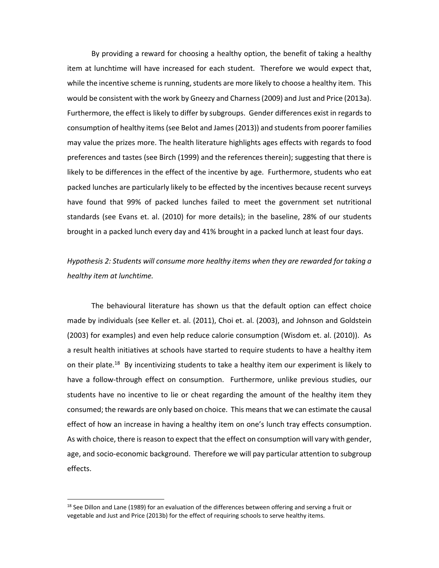By providing a reward for choosing a healthy option, the benefit of taking a healthy item at lunchtime will have increased for each student. Therefore we would expect that, while the incentive scheme is running, students are more likely to choose a healthy item. This would be consistent with the work by Gneezy and Charness(2009) and Just and Price (2013a). Furthermore, the effect is likely to differ by subgroups. Gender differences exist in regards to consumption of healthy items(see Belot and James(2013)) and studentsfrom poorer families may value the prizes more. The health literature highlights ages effects with regards to food preferences and tastes (see Birch (1999) and the references therein); suggesting that there is likely to be differences in the effect of the incentive by age. Furthermore, students who eat packed lunches are particularly likely to be effected by the incentives because recent surveys have found that 99% of packed lunches failed to meet the government set nutritional standards (see Evans et. al. (2010) for more details); in the baseline, 28% of our students brought in a packed lunch every day and 41% brought in a packed lunch at least four days.

# *Hypothesis 2: Students will consume more healthy items when they are rewarded for taking a healthy item at lunchtime.*

The behavioural literature has shown us that the default option can effect choice made by individuals (see Keller et. al. (2011), Choi et. al. (2003), and Johnson and Goldstein (2003) for examples) and even help reduce calorie consumption (Wisdom et. al. (2010)). As a result health initiatives at schools have started to require students to have a healthy item on their plate.<sup>18</sup> By incentivizing students to take a healthy item our experiment is likely to have a follow-through effect on consumption. Furthermore, unlike previous studies, our students have no incentive to lie or cheat regarding the amount of the healthy item they consumed; the rewards are only based on choice. This meansthat we can estimate the causal effect of how an increase in having a healthy item on one's lunch tray effects consumption. As with choice, there is reason to expect that the effect on consumption will vary with gender, age, and socio‐economic background. Therefore we will pay particular attention to subgroup effects.

 $18$  See Dillon and Lane (1989) for an evaluation of the differences between offering and serving a fruit or vegetable and Just and Price (2013b) for the effect of requiring schools to serve healthy items.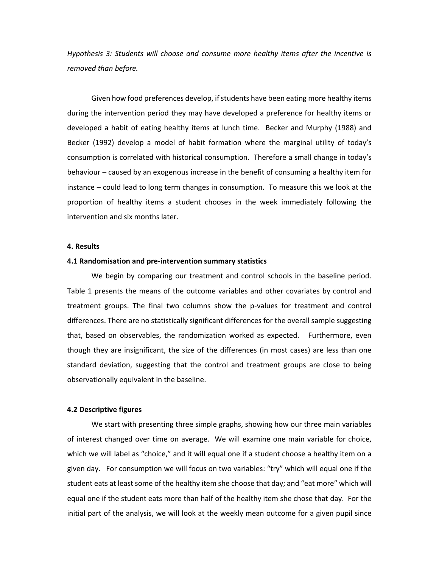*Hypothesis 3: Students will choose and consume more healthy items after the incentive is removed than before.*

Given how food preferences develop, if students have been eating more healthy items during the intervention period they may have developed a preference for healthy items or developed a habit of eating healthy items at lunch time. Becker and Murphy (1988) and Becker (1992) develop a model of habit formation where the marginal utility of today's consumption is correlated with historical consumption. Therefore a small change in today's behaviour – caused by an exogenous increase in the benefit of consuming a healthy item for instance – could lead to long term changes in consumption. To measure this we look at the proportion of healthy items a student chooses in the week immediately following the intervention and six months later.

### **4. Results**

#### **4.1 Randomisation and pre‐intervention summary statistics**

We begin by comparing our treatment and control schools in the baseline period. Table 1 presents the means of the outcome variables and other covariates by control and treatment groups. The final two columns show the p-values for treatment and control differences. There are no statistically significant differences for the overall sample suggesting that, based on observables, the randomization worked as expected. Furthermore, even though they are insignificant, the size of the differences (in most cases) are less than one standard deviation, suggesting that the control and treatment groups are close to being observationally equivalent in the baseline.

### **4.2 Descriptive figures**

We start with presenting three simple graphs, showing how our three main variables of interest changed over time on average. We will examine one main variable for choice, which we will label as "choice," and it will equal one if a student choose a healthy item on a given day. For consumption we will focus on two variables: "try" which will equal one if the student eats at least some of the healthy item she choose that day; and "eat more" which will equal one if the student eats more than half of the healthy item she chose that day. For the initial part of the analysis, we will look at the weekly mean outcome for a given pupil since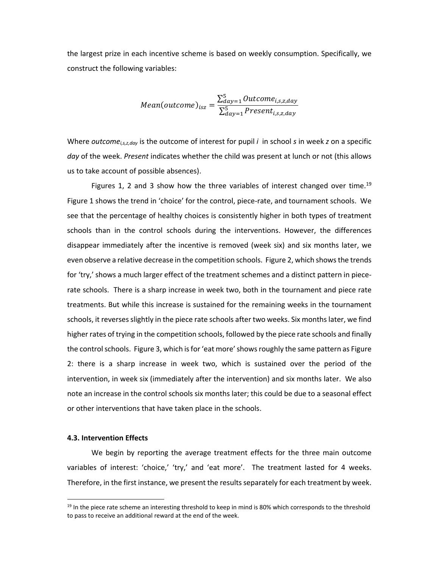the largest prize in each incentive scheme is based on weekly consumption. Specifically, we construct the following variables:

$$
Mean(outcome)_{isz} = \frac{\sum_{day=1}^{5} Outcome_{i,s,z,day}}{\sum_{day=1}^{5} Present_{i,s,z,day}}
$$

Where *outcomei,s,z,day* is the outcome of interest for pupil *i* in school *s* in week *z* on a specific *day* of the week. *Present* indicates whether the child was present at lunch or not (this allows us to take account of possible absences).

Figures 1, 2 and 3 show how the three variables of interest changed over time.<sup>19</sup> Figure 1 shows the trend in 'choice' for the control, piece-rate, and tournament schools. We see that the percentage of healthy choices is consistently higher in both types of treatment schools than in the control schools during the interventions. However, the differences disappear immediately after the incentive is removed (week six) and six months later, we even observe a relative decrease in the competition schools. Figure 2, which shows the trends for 'try,' shows a much larger effect of the treatment schemes and a distinct pattern in piecerate schools. There is a sharp increase in week two, both in the tournament and piece rate treatments. But while this increase is sustained for the remaining weeks in the tournament schools, it reverses slightly in the piece rate schools after two weeks. Six months later, we find higher rates of trying in the competition schools, followed by the piece rate schools and finally the control schools. Figure 3, which is for 'eat more' shows roughly the same pattern as Figure 2: there is a sharp increase in week two, which is sustained over the period of the intervention, in week six (immediately after the intervention) and six months later. We also note an increase in the control schools six months later; this could be due to a seasonal effect or other interventions that have taken place in the schools.

## **4.3. Intervention Effects**

We begin by reporting the average treatment effects for the three main outcome variables of interest: 'choice,' 'try,' and 'eat more'. The treatment lasted for 4 weeks. Therefore, in the first instance, we present the results separately for each treatment by week.

 $19$  In the piece rate scheme an interesting threshold to keep in mind is 80% which corresponds to the threshold to pass to receive an additional reward at the end of the week.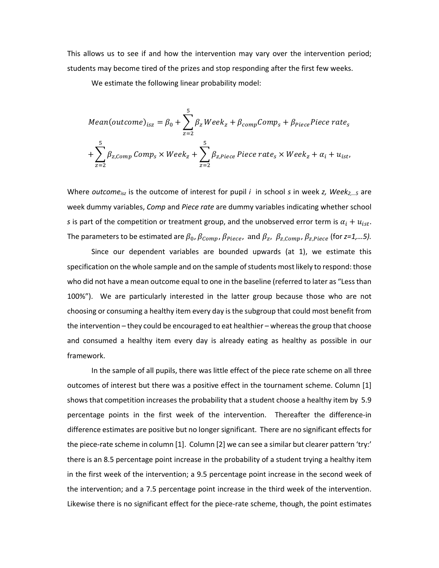This allows us to see if and how the intervention may vary over the intervention period; students may become tired of the prizes and stop responding after the first few weeks.

We estimate the following linear probability model:

Mean(outcome)<sub>isz</sub> = 
$$
\beta_0 + \sum_{z=2}^{5} \beta_z Week_z + \beta_{compComp}Comp_s + \beta_{piece}Piece\ rate_s
$$
  
+ $\sum_{z=2}^{5} \beta_{z,Comp}Comp_s \times Week_z + \sum_{z=2}^{5} \beta_{z,piece} Piece\ rate_s \times Week_z + \alpha_i + u_{ist}$ ,

Where *outcomeisz* is the outcome of interest for pupil *i* in school *s* in week *z, Week2,…5* are week dummy variables, *Comp* and *Piece rate* are dummy variables indicating whether school *s* is part of the competition or treatment group, and the unobserved error term is  $\alpha_i + u_{i, \text{st}}$ . The parameters to be estimated are  $\beta_0$ ,  $\beta_{\text{Comp}}$ ,  $\beta_{\text{piece}}$ , and  $\beta_z$ ,  $\beta_{\text{z,Comp}}$ ,  $\beta_{\text{z,piece}}$  (for  $z=1,...5$ ).

Since our dependent variables are bounded upwards (at 1), we estimate this specification on the whole sample and on the sample of students most likely to respond: those who did not have a mean outcome equal to one in the baseline (referred to later as "Lessthan 100%"). We are particularly interested in the latter group because those who are not choosing or consuming a healthy item every day is the subgroup that could most benefit from the intervention – they could be encouraged to eat healthier – whereas the group that choose and consumed a healthy item every day is already eating as healthy as possible in our framework.

In the sample of all pupils, there was little effect of the piece rate scheme on all three outcomes of interest but there was a positive effect in the tournament scheme. Column [1] shows that competition increases the probability that a student choose a healthy item by 5.9 percentage points in the first week of the intervention. Thereafter the difference-in difference estimates are positive but no longer significant. There are no significant effects for the piece-rate scheme in column [1]. Column [2] we can see a similar but clearer pattern 'try:' there is an 8.5 percentage point increase in the probability of a student trying a healthy item in the first week of the intervention; a 9.5 percentage point increase in the second week of the intervention; and a 7.5 percentage point increase in the third week of the intervention. Likewise there is no significant effect for the piece-rate scheme, though, the point estimates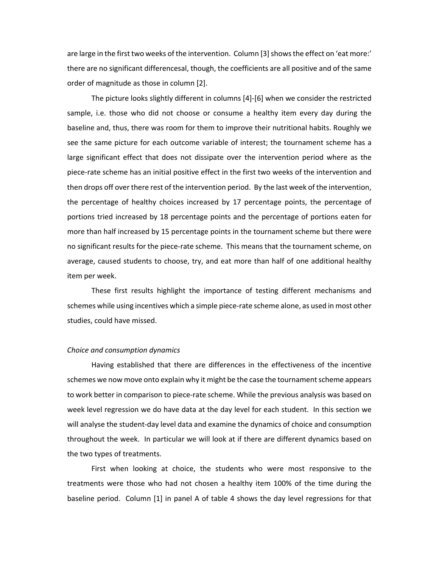are large in the first two weeks of the intervention. Column [3] shows the effect on 'eat more:' there are no significant differencesal, though, the coefficients are all positive and of the same order of magnitude as those in column [2].

The picture looks slightly different in columns [4]‐[6] when we consider the restricted sample, i.e. those who did not choose or consume a healthy item every day during the baseline and, thus, there was room for them to improve their nutritional habits. Roughly we see the same picture for each outcome variable of interest; the tournament scheme has a large significant effect that does not dissipate over the intervention period where as the piece‐rate scheme has an initial positive effect in the first two weeks of the intervention and then drops off over there rest of the intervention period. By the last week of the intervention, the percentage of healthy choices increased by 17 percentage points, the percentage of portions tried increased by 18 percentage points and the percentage of portions eaten for more than half increased by 15 percentage points in the tournament scheme but there were no significant results for the piece‐rate scheme. This means that the tournament scheme, on average, caused students to choose, try, and eat more than half of one additional healthy item per week.

These first results highlight the importance of testing different mechanisms and schemes while using incentives which a simple piece‐rate scheme alone, as used in most other studies, could have missed.

#### *Choice and consumption dynamics*

Having established that there are differences in the effectiveness of the incentive schemes we now move onto explain why it might be the case the tournament scheme appears to work better in comparison to piece‐rate scheme. While the previous analysis was based on week level regression we do have data at the day level for each student. In this section we will analyse the student‐day level data and examine the dynamics of choice and consumption throughout the week. In particular we will look at if there are different dynamics based on the two types of treatments.

First when looking at choice, the students who were most responsive to the treatments were those who had not chosen a healthy item 100% of the time during the baseline period. Column [1] in panel A of table 4 shows the day level regressions for that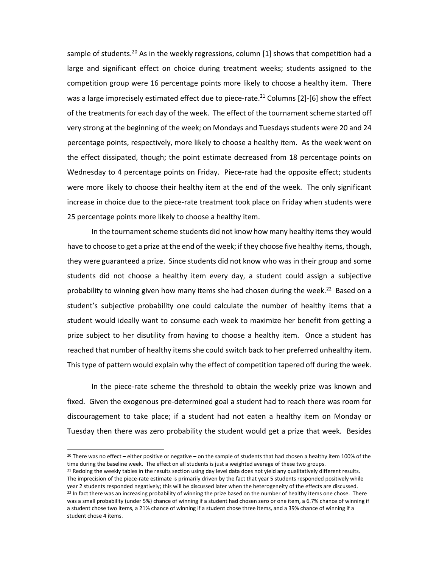sample of students.<sup>20</sup> As in the weekly regressions, column [1] shows that competition had a large and significant effect on choice during treatment weeks; students assigned to the competition group were 16 percentage points more likely to choose a healthy item. There was a large imprecisely estimated effect due to piece-rate.<sup>21</sup> Columns [2]-[6] show the effect of the treatments for each day of the week. The effect of the tournament scheme started off very strong at the beginning of the week; on Mondays and Tuesdays students were 20 and 24 percentage points, respectively, more likely to choose a healthy item. As the week went on the effect dissipated, though; the point estimate decreased from 18 percentage points on Wednesday to 4 percentage points on Friday. Piece-rate had the opposite effect; students were more likely to choose their healthy item at the end of the week. The only significant increase in choice due to the piece‐rate treatment took place on Friday when students were 25 percentage points more likely to choose a healthy item.

In the tournament scheme students did not know how many healthy items they would have to choose to get a prize at the end of the week; if they choose five healthy items, though, they were guaranteed a prize. Since students did not know who was in their group and some students did not choose a healthy item every day, a student could assign a subjective probability to winning given how many items she had chosen during the week.<sup>22</sup> Based on a student's subjective probability one could calculate the number of healthy items that a student would ideally want to consume each week to maximize her benefit from getting a prize subject to her disutility from having to choose a healthy item. Once a student has reached that number of healthy items she could switch back to her preferred unhealthy item. This type of pattern would explain why the effect of competition tapered off during the week.

In the piece‐rate scheme the threshold to obtain the weekly prize was known and fixed. Given the exogenous pre-determined goal a student had to reach there was room for discouragement to take place; if a student had not eaten a healthy item on Monday or Tuesday then there was zero probability the student would get a prize that week. Besides

 $20$  There was no effect – either positive or negative – on the sample of students that had chosen a healthy item 100% of the time during the baseline week. The effect on all students is just a weighted average of these two groups.

<sup>&</sup>lt;sup>21</sup> Redoing the weekly tables in the results section using day level data does not yield any qualitatively different results. The imprecision of the piece-rate estimate is primarily driven by the fact that year 5 students responded positively while year 2 students responded negatively; this will be discussed later when the heterogeneity of the effects are discussed. <sup>22</sup> In fact there was an increasing probability of winning the prize based on the number of healthy items one chose. There was a small probability (under 5%) chance of winning if a student had chosen zero or one item, a 6.7% chance of winning if a student chose two items, a 21% chance of winning if a student chose three items, and a 39% chance of winning if a student chose 4 items.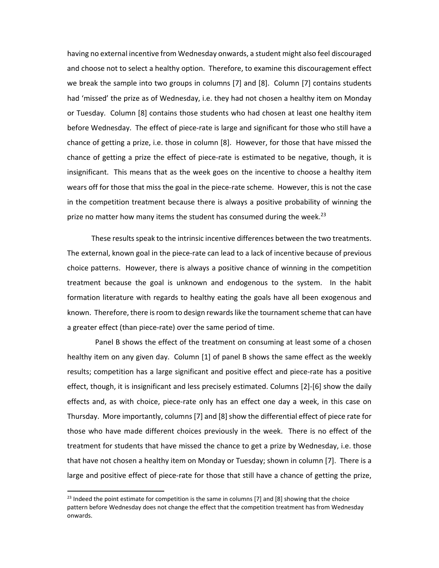having no external incentive from Wednesday onwards, a student might also feel discouraged and choose not to select a healthy option. Therefore, to examine this discouragement effect we break the sample into two groups in columns [7] and [8]. Column [7] contains students had 'missed' the prize as of Wednesday, i.e. they had not chosen a healthy item on Monday or Tuesday. Column [8] contains those students who had chosen at least one healthy item before Wednesday. The effect of piece-rate is large and significant for those who still have a chance of getting a prize, i.e. those in column [8]. However, for those that have missed the chance of getting a prize the effect of piece‐rate is estimated to be negative, though, it is insignificant. This means that as the week goes on the incentive to choose a healthy item wears off for those that miss the goal in the piece-rate scheme. However, this is not the case in the competition treatment because there is always a positive probability of winning the prize no matter how many items the student has consumed during the week.<sup>23</sup>

These results speak to the intrinsic incentive differences between the two treatments. The external, known goal in the piece-rate can lead to a lack of incentive because of previous choice patterns. However, there is always a positive chance of winning in the competition treatment because the goal is unknown and endogenous to the system. In the habit formation literature with regards to healthy eating the goals have all been exogenous and known. Therefore, there is room to design rewards like the tournament scheme that can have a greater effect (than piece‐rate) over the same period of time.

 Panel B shows the effect of the treatment on consuming at least some of a chosen healthy item on any given day. Column [1] of panel B shows the same effect as the weekly results; competition has a large significant and positive effect and piece-rate has a positive effect, though, it is insignificant and less precisely estimated. Columns [2]‐[6] show the daily effects and, as with choice, piece-rate only has an effect one day a week, in this case on Thursday. More importantly, columns [7] and [8] show the differential effect of piece rate for those who have made different choices previously in the week. There is no effect of the treatment for students that have missed the chance to get a prize by Wednesday, i.e. those that have not chosen a healthy item on Monday or Tuesday; shown in column [7]. There is a large and positive effect of piece‐rate for those that still have a chance of getting the prize,

<sup>&</sup>lt;sup>23</sup> Indeed the point estimate for competition is the same in columns [7] and [8] showing that the choice pattern before Wednesday does not change the effect that the competition treatment has from Wednesday onwards.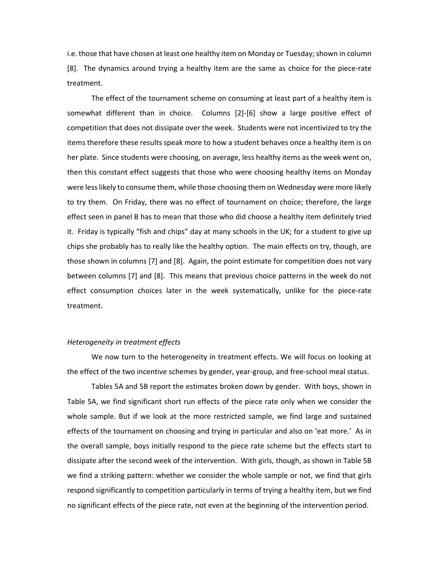i.e. those that have chosen at least one healthy item on Monday or Tuesday; shown in column [8]. The dynamics around trying a healthy item are the same as choice for the piece‐rate treatment.

The effect of the tournament scheme on consuming at least part of a healthy item is somewhat different than in choice. Columns [2]-[6] show a large positive effect of competition that does not dissipate over the week. Students were not incentivized to try the items therefore these results speak more to how a student behaves once a healthy item is on her plate. Since students were choosing, on average, less healthy items as the week went on, then this constant effect suggests that those who were choosing healthy items on Monday were less likely to consume them, while those choosing them on Wednesday were more likely to try them. On Friday, there was no effect of tournament on choice; therefore, the large effect seen in panel B has to mean that those who did choose a healthy item definitely tried it. Friday is typically "fish and chips" day at many schools in the UK; for a student to give up chips she probably has to really like the healthy option. The main effects on try, though, are those shown in columns [7] and [8]. Again, the point estimate for competition does not vary between columns [7] and [8]. This means that previous choice patterns in the week do not effect consumption choices later in the week systematically, unlike for the piece-rate treatment.

## *Heterogeneity in treatment effects*

We now turn to the heterogeneity in treatment effects. We will focus on looking at the effect of the two incentive schemes by gender, year‐group, and free‐school meal status.

Tables 5A and 5B report the estimates broken down by gender. With boys, shown in Table 5A, we find significant short run effects of the piece rate only when we consider the whole sample. But if we look at the more restricted sample, we find large and sustained effects of the tournament on choosing and trying in particular and also on 'eat more.' As in the overall sample, boys initially respond to the piece rate scheme but the effects start to dissipate after the second week of the intervention. With girls, though, as shown in Table 5B we find a striking pattern: whether we consider the whole sample or not, we find that girls respond significantly to competition particularly in terms of trying a healthy item, but we find no significant effects of the piece rate, not even at the beginning of the intervention period.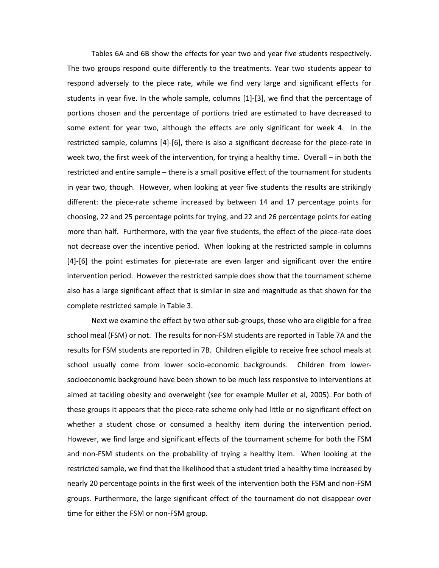Tables 6A and 6B show the effects for year two and year five students respectively. The two groups respond quite differently to the treatments. Year two students appear to respond adversely to the piece rate, while we find very large and significant effects for students in year five. In the whole sample, columns [1]‐[3], we find that the percentage of portions chosen and the percentage of portions tried are estimated to have decreased to some extent for year two, although the effects are only significant for week 4. In the restricted sample, columns [4]-[6], there is also a significant decrease for the piece-rate in week two, the first week of the intervention, for trying a healthy time. Overall – in both the restricted and entire sample – there is a small positive effect of the tournament for students in year two, though. However, when looking at year five students the results are strikingly different: the piece‐rate scheme increased by between 14 and 17 percentage points for choosing, 22 and 25 percentage points for trying, and 22 and 26 percentage points for eating more than half. Furthermore, with the year five students, the effect of the piece-rate does not decrease over the incentive period. When looking at the restricted sample in columns [4]–[6] the point estimates for piece-rate are even larger and significant over the entire intervention period. However the restricted sample does show that the tournament scheme also has a large significant effect that is similar in size and magnitude as that shown for the complete restricted sample in Table 3.

Next we examine the effect by two other sub‐groups, those who are eligible for a free school meal (FSM) or not. The results for non-FSM students are reported in Table 7A and the results for FSM students are reported in 7B. Children eligible to receive free school meals at school usually come from lower socio‐economic backgrounds. Children from lower‐ socioeconomic background have been shown to be much less responsive to interventions at aimed at tackling obesity and overweight (see for example Muller et al, 2005). For both of these groups it appears that the piece-rate scheme only had little or no significant effect on whether a student chose or consumed a healthy item during the intervention period. However, we find large and significant effects of the tournament scheme for both the FSM and non‐FSM students on the probability of trying a healthy item. When looking at the restricted sample, we find that the likelihood that a student tried a healthy time increased by nearly 20 percentage points in the first week of the intervention both the FSM and non‐FSM groups. Furthermore, the large significant effect of the tournament do not disappear over time for either the FSM or non‐FSM group.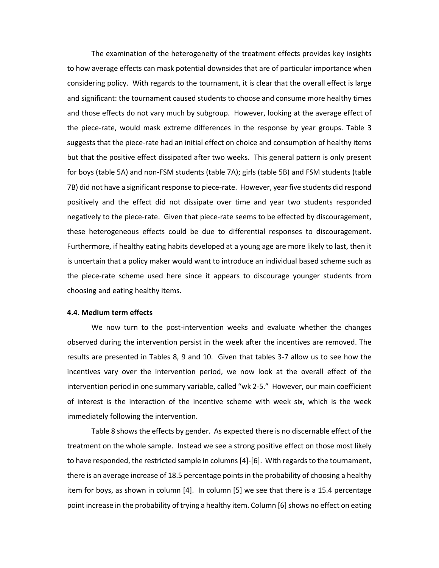The examination of the heterogeneity of the treatment effects provides key insights to how average effects can mask potential downsides that are of particular importance when considering policy. With regards to the tournament, it is clear that the overall effect is large and significant: the tournament caused students to choose and consume more healthy times and those effects do not vary much by subgroup. However, looking at the average effect of the piece-rate, would mask extreme differences in the response by year groups. Table 3 suggests that the piece-rate had an initial effect on choice and consumption of healthy items but that the positive effect dissipated after two weeks. This general pattern is only present for boys (table 5A) and non‐FSM students (table 7A); girls (table 5B) and FSM students (table 7B) did not have a significant response to piece‐rate. However, year five students did respond positively and the effect did not dissipate over time and year two students responded negatively to the piece-rate. Given that piece-rate seems to be effected by discouragement, these heterogeneous effects could be due to differential responses to discouragement. Furthermore, if healthy eating habits developed at a young age are more likely to last, then it is uncertain that a policy maker would want to introduce an individual based scheme such as the piece‐rate scheme used here since it appears to discourage younger students from choosing and eating healthy items.

### **4.4. Medium term effects**

We now turn to the post-intervention weeks and evaluate whether the changes observed during the intervention persist in the week after the incentives are removed. The results are presented in Tables 8, 9 and 10. Given that tables 3‐7 allow us to see how the incentives vary over the intervention period, we now look at the overall effect of the intervention period in one summary variable, called "wk 2‐5." However, our main coefficient of interest is the interaction of the incentive scheme with week six, which is the week immediately following the intervention.

Table 8 shows the effects by gender. As expected there is no discernable effect of the treatment on the whole sample. Instead we see a strong positive effect on those most likely to have responded, the restricted sample in columns [4]-[6]. With regards to the tournament, there is an average increase of 18.5 percentage points in the probability of choosing a healthy item for boys, as shown in column [4]. In column [5] we see that there is a 15.4 percentage point increase in the probability of trying a healthy item. Column [6] shows no effect on eating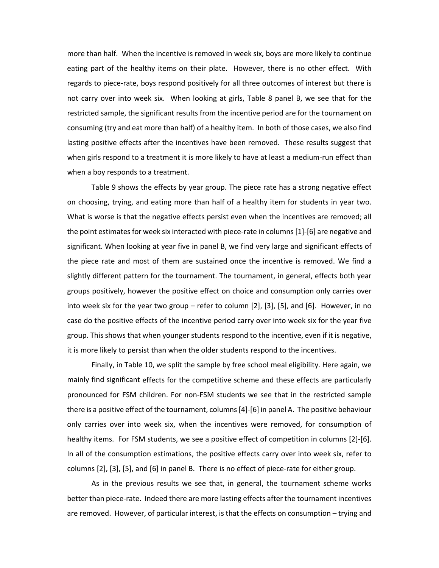more than half. When the incentive is removed in week six, boys are more likely to continue eating part of the healthy items on their plate. However, there is no other effect. With regards to piece-rate, boys respond positively for all three outcomes of interest but there is not carry over into week six. When looking at girls, Table 8 panel B, we see that for the restricted sample, the significant results from the incentive period are for the tournament on consuming (try and eat more than half) of a healthy item. In both of those cases, we also find lasting positive effects after the incentives have been removed. These results suggest that when girls respond to a treatment it is more likely to have at least a medium-run effect than when a boy responds to a treatment.

Table 9 shows the effects by year group. The piece rate has a strong negative effect on choosing, trying, and eating more than half of a healthy item for students in year two. What is worse is that the negative effects persist even when the incentives are removed; all the point estimates for week six interacted with piece-rate in columns [1]-[6] are negative and significant. When looking at year five in panel B, we find very large and significant effects of the piece rate and most of them are sustained once the incentive is removed. We find a slightly different pattern for the tournament. The tournament, in general, effects both year groups positively, however the positive effect on choice and consumption only carries over into week six for the year two group – refer to column [2], [3], [5], and [6]. However, in no case do the positive effects of the incentive period carry over into week six for the year five group. This shows that when younger students respond to the incentive, even if it is negative, it is more likely to persist than when the older students respond to the incentives.

Finally, in Table 10, we split the sample by free school meal eligibility. Here again, we mainly find significant effects for the competitive scheme and these effects are particularly pronounced for FSM children. For non‐FSM students we see that in the restricted sample there is a positive effect of the tournament, columns[4]‐[6] in panel A. The positive behaviour only carries over into week six, when the incentives were removed, for consumption of healthy items. For FSM students, we see a positive effect of competition in columns [2]‐[6]. In all of the consumption estimations, the positive effects carry over into week six, refer to columns  $[2]$ ,  $[3]$ ,  $[5]$ , and  $[6]$  in panel B. There is no effect of piece-rate for either group.

As in the previous results we see that, in general, the tournament scheme works better than piece‐rate. Indeed there are more lasting effects after the tournament incentives are removed. However, of particular interest, is that the effects on consumption – trying and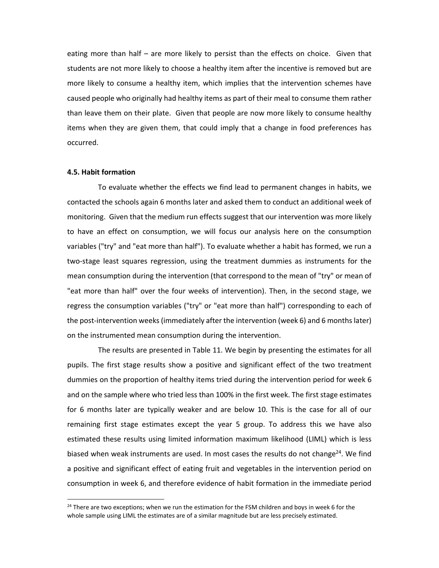eating more than half – are more likely to persist than the effects on choice. Given that students are not more likely to choose a healthy item after the incentive is removed but are more likely to consume a healthy item, which implies that the intervention schemes have caused people who originally had healthy items as part of their meal to consume them rather than leave them on their plate. Given that people are now more likely to consume healthy items when they are given them, that could imply that a change in food preferences has occurred.

#### **4.5. Habit formation**

To evaluate whether the effects we find lead to permanent changes in habits, we contacted the schools again 6 months later and asked them to conduct an additional week of monitoring. Given that the medium run effects suggest that our intervention was more likely to have an effect on consumption, we will focus our analysis here on the consumption variables ("try" and "eat more than half"). To evaluate whether a habit has formed, we run a two‐stage least squares regression, using the treatment dummies as instruments for the mean consumption during the intervention (that correspond to the mean of "try" or mean of "eat more than half" over the four weeks of intervention). Then, in the second stage, we regress the consumption variables ("try" or "eat more than half") corresponding to each of the post-intervention weeks (immediately after the intervention (week 6) and 6 months later) on the instrumented mean consumption during the intervention.

The results are presented in Table 11. We begin by presenting the estimates for all pupils. The first stage results show a positive and significant effect of the two treatment dummies on the proportion of healthy items tried during the intervention period for week 6 and on the sample where who tried less than 100% in the first week. The first stage estimates for 6 months later are typically weaker and are below 10. This is the case for all of our remaining first stage estimates except the year 5 group. To address this we have also estimated these results using limited information maximum likelihood (LIML) which is less biased when weak instruments are used. In most cases the results do not change<sup>24</sup>. We find a positive and significant effect of eating fruit and vegetables in the intervention period on consumption in week 6, and therefore evidence of habit formation in the immediate period

 $24$  There are two exceptions; when we run the estimation for the FSM children and boys in week 6 for the whole sample using LIML the estimates are of a similar magnitude but are less precisely estimated.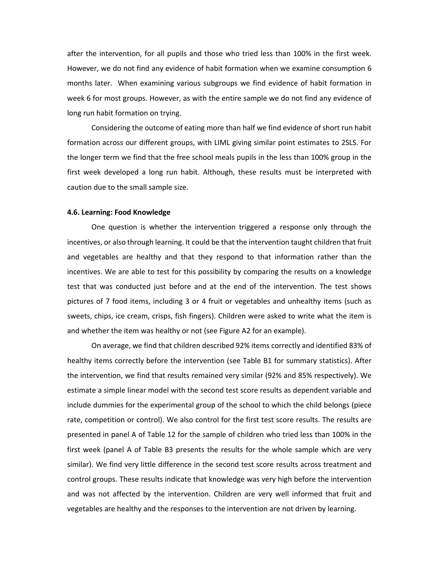after the intervention, for all pupils and those who tried less than 100% in the first week. However, we do not find any evidence of habit formation when we examine consumption 6 months later. When examining various subgroups we find evidence of habit formation in week 6 for most groups. However, as with the entire sample we do not find any evidence of long run habit formation on trying.

Considering the outcome of eating more than half we find evidence of short run habit formation across our different groups, with LIML giving similar point estimates to 2SLS. For the longer term we find that the free school meals pupils in the less than 100% group in the first week developed a long run habit. Although, these results must be interpreted with caution due to the small sample size.

### **4.6. Learning: Food Knowledge**

One question is whether the intervention triggered a response only through the incentives, or also through learning. It could be that the intervention taught children that fruit and vegetables are healthy and that they respond to that information rather than the incentives. We are able to test for this possibility by comparing the results on a knowledge test that was conducted just before and at the end of the intervention. The test shows pictures of 7 food items, including 3 or 4 fruit or vegetables and unhealthy items (such as sweets, chips, ice cream, crisps, fish fingers). Children were asked to write what the item is and whether the item was healthy or not (see Figure A2 for an example).

On average, we find that children described 92% items correctly and identified 83% of healthy items correctly before the intervention (see Table B1 for summary statistics). After the intervention, we find that results remained very similar (92% and 85% respectively). We estimate a simple linear model with the second test score results as dependent variable and include dummies for the experimental group of the school to which the child belongs (piece rate, competition or control). We also control for the first test score results. The results are presented in panel A of Table 12 for the sample of children who tried less than 100% in the first week (panel A of Table B3 presents the results for the whole sample which are very similar). We find very little difference in the second test score results across treatment and control groups. These results indicate that knowledge was very high before the intervention and was not affected by the intervention. Children are very well informed that fruit and vegetables are healthy and the responses to the intervention are not driven by learning.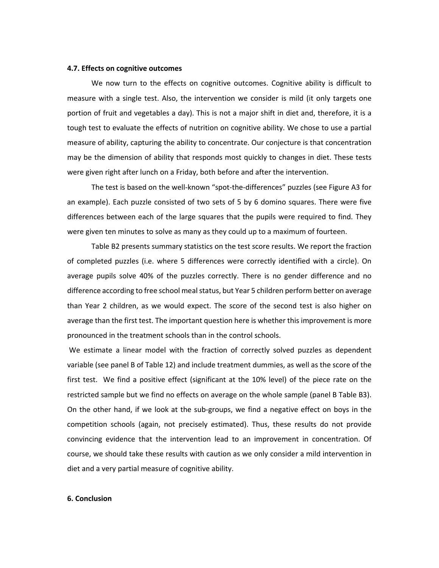### **4.7. Effects on cognitive outcomes**

We now turn to the effects on cognitive outcomes. Cognitive ability is difficult to measure with a single test. Also, the intervention we consider is mild (it only targets one portion of fruit and vegetables a day). This is not a major shift in diet and, therefore, it is a tough test to evaluate the effects of nutrition on cognitive ability. We chose to use a partial measure of ability, capturing the ability to concentrate. Our conjecture is that concentration may be the dimension of ability that responds most quickly to changes in diet. These tests were given right after lunch on a Friday, both before and after the intervention.

The test is based on the well-known "spot-the-differences" puzzles (see Figure A3 for an example). Each puzzle consisted of two sets of 5 by 6 domino squares. There were five differences between each of the large squares that the pupils were required to find. They were given ten minutes to solve as many as they could up to a maximum of fourteen.

Table B2 presents summary statistics on the test score results. We report the fraction of completed puzzles (i.e. where 5 differences were correctly identified with a circle). On average pupils solve 40% of the puzzles correctly. There is no gender difference and no difference according to free school mealstatus, but Year 5 children perform better on average than Year 2 children, as we would expect. The score of the second test is also higher on average than the first test. The important question here is whether this improvement is more pronounced in the treatment schools than in the control schools.

We estimate a linear model with the fraction of correctly solved puzzles as dependent variable (see panel B of Table 12) and include treatment dummies, as well as the score of the first test. We find a positive effect (significant at the 10% level) of the piece rate on the restricted sample but we find no effects on average on the whole sample (panel B Table B3). On the other hand, if we look at the sub‐groups, we find a negative effect on boys in the competition schools (again, not precisely estimated). Thus, these results do not provide convincing evidence that the intervention lead to an improvement in concentration. Of course, we should take these results with caution as we only consider a mild intervention in diet and a very partial measure of cognitive ability.

#### **6. Conclusion**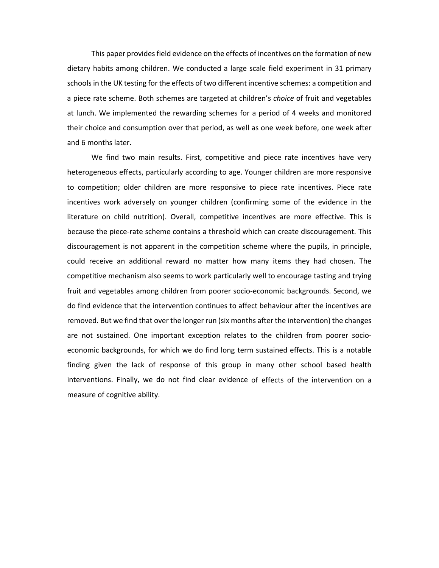This paper provides field evidence on the effects of incentives on the formation of new dietary habits among children. We conducted a large scale field experiment in 31 primary schools in the UK testing for the effects of two different incentive schemes: a competition and a piece rate scheme. Both schemes are targeted at children's *choice* of fruit and vegetables at lunch. We implemented the rewarding schemes for a period of 4 weeks and monitored their choice and consumption over that period, as well as one week before, one week after and 6 months later.

We find two main results. First, competitive and piece rate incentives have very heterogeneous effects, particularly according to age. Younger children are more responsive to competition; older children are more responsive to piece rate incentives. Piece rate incentives work adversely on younger children (confirming some of the evidence in the literature on child nutrition). Overall, competitive incentives are more effective. This is because the piece-rate scheme contains a threshold which can create discouragement. This discouragement is not apparent in the competition scheme where the pupils, in principle, could receive an additional reward no matter how many items they had chosen. The competitive mechanism also seems to work particularly well to encourage tasting and trying fruit and vegetables among children from poorer socio‐economic backgrounds. Second, we do find evidence that the intervention continues to affect behaviour after the incentives are removed. But we find that over the longer run (six months after the intervention) the changes are not sustained. One important exception relates to the children from poorer socioeconomic backgrounds, for which we do find long term sustained effects. This is a notable finding given the lack of response of this group in many other school based health interventions. Finally, we do not find clear evidence of effects of the intervention on a measure of cognitive ability.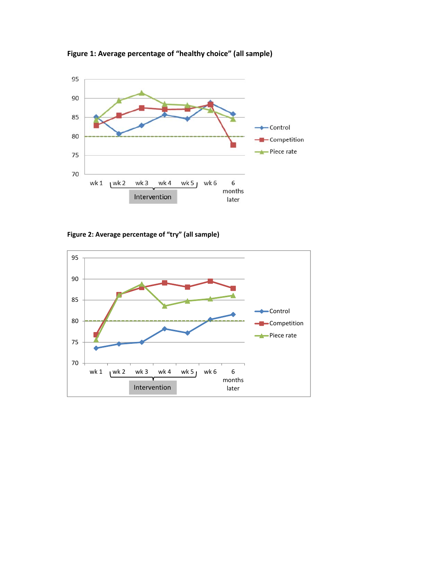

**Figure 1: Average percentage of "healthy choice" (all sample)**

**Figure 2: Average percentage of "try" (all sample)**

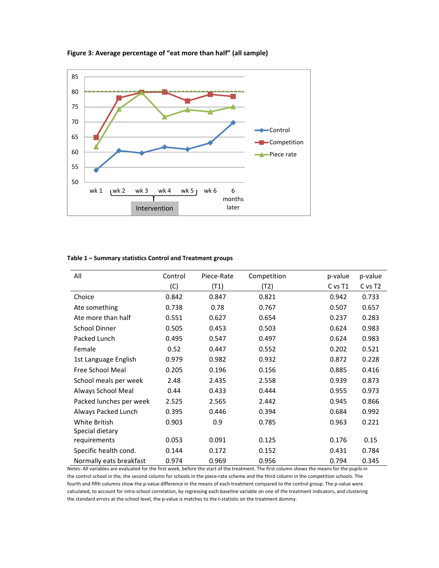

## **Figure 3: Average percentage of "eat more than half" (all sample)**

| Table 1 – Summary statistics Control and Treatment groups |  |  |
|-----------------------------------------------------------|--|--|
|-----------------------------------------------------------|--|--|

| All                     | Control | Piece-Rate | Competition | p-value | p-value             |
|-------------------------|---------|------------|-------------|---------|---------------------|
|                         | (C)     | (T1)       | (T2)        | C vs T1 | C vs T <sub>2</sub> |
| Choice                  | 0.842   | 0.847      | 0.821       | 0.942   | 0.733               |
| Ate something           | 0.738   | 0.78       | 0.767       | 0.507   | 0.657               |
| Ate more than half      | 0.551   | 0.627      | 0.654       | 0.237   | 0.283               |
| <b>School Dinner</b>    | 0.505   | 0.453      | 0.503       | 0.624   | 0.983               |
| Packed Lunch            | 0.495   | 0.547      | 0.497       | 0.624   | 0.983               |
| Female                  | 0.52    | 0.447      | 0.552       | 0.202   | 0.521               |
| 1st Language English    | 0.979   | 0.982      | 0.932       | 0.872   | 0.228               |
| Free School Meal        | 0.205   | 0.196      | 0.156       | 0.885   | 0.416               |
| School meals per week   | 2.48    | 2.435      | 2.558       | 0.939   | 0.873               |
| Always School Meal      | 0.44    | 0.433      | 0.444       | 0.955   | 0.973               |
| Packed lunches per week | 2.525   | 2.565      | 2.442       | 0.945   | 0.866               |
| Always Packed Lunch     | 0.395   | 0.446      | 0.394       | 0.684   | 0.992               |
| <b>White British</b>    | 0.903   | 0.9        | 0.785       | 0.963   | 0.221               |
| Special dietary         |         |            |             |         |                     |
| requirements            | 0.053   | 0.091      | 0.125       | 0.176   | 0.15                |
| Specific health cond.   | 0.144   | 0.172      | 0.152       | 0.431   | 0.784               |
| Normally eats breakfast | 0.974   | 0.969      | 0.956       | 0.794   | 0.345               |

Notes: All variables are evaluated for the first week, before the start of the treatment. The first column shows the means for the pupils in the control school in the, the second column for schools in the piece-rate scheme and the third column in the competition schools. The fourth and fifth columns show the p‐value difference in the means of each treatment compared to the control group. The p‐value were calculated, to account for intra‐school correlation, by regressing each baseline variable on one of the treatment indicators, and clustering the standard errors at the school level, the p-value is matches to the t-statistic on the treatment dummy.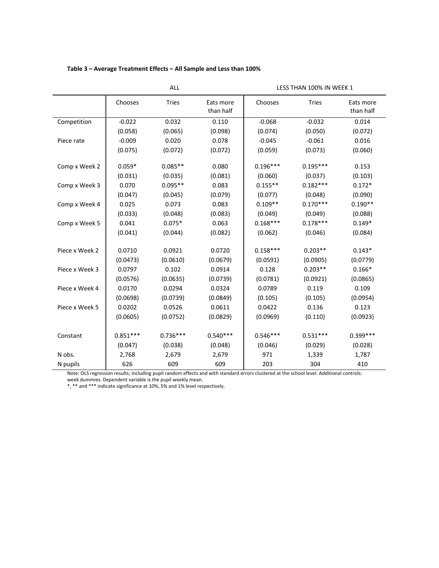| Table 3 - Average Treatment Effects - All Sample and Less than 100% |  |
|---------------------------------------------------------------------|--|
|---------------------------------------------------------------------|--|

|                                                                                                                                           | ALL        |              |                        | LESS THAN 100% IN WEEK 1 |              |                        |
|-------------------------------------------------------------------------------------------------------------------------------------------|------------|--------------|------------------------|--------------------------|--------------|------------------------|
|                                                                                                                                           | Chooses    | <b>Tries</b> | Eats more<br>than half | Chooses                  | <b>Tries</b> | Eats more<br>than half |
| Competition                                                                                                                               | $-0.022$   | 0.032        | 0.110                  | $-0.068$                 | $-0.032$     | 0.014                  |
|                                                                                                                                           | (0.058)    | (0.065)      | (0.098)                | (0.074)                  | (0.050)      | (0.072)                |
| Piece rate                                                                                                                                | $-0.009$   | 0.020        | 0.078                  | $-0.045$                 | $-0.061$     | 0.016                  |
|                                                                                                                                           | (0.075)    | (0.072)      | (0.072)                | (0.059)                  | (0.073)      | (0.060)                |
| Comp x Week 2                                                                                                                             | $0.059*$   | $0.085**$    | 0.080                  | $0.196***$               | $0.195***$   | 0.153                  |
|                                                                                                                                           | (0.031)    | (0.035)      | (0.081)                | (0.060)                  | (0.037)      | (0.103)                |
| Comp x Week 3                                                                                                                             | 0.070      | $0.095**$    | 0.083                  | $0.155**$                | $0.182***$   | $0.172*$               |
|                                                                                                                                           | (0.047)    | (0.045)      | (0.079)                | (0.077)                  | (0.048)      | (0.090)                |
| Comp x Week 4                                                                                                                             | 0.025      | 0.073        | 0.083                  | $0.109**$                | $0.170***$   | $0.190**$              |
|                                                                                                                                           | (0.033)    | (0.048)      | (0.083)                | (0.049)                  | (0.049)      | (0.088)                |
| Comp x Week 5                                                                                                                             | 0.041      | $0.075*$     | 0.063                  | $0.168***$               | $0.178***$   | $0.149*$               |
|                                                                                                                                           | (0.041)    | (0.044)      | (0.082)                | (0.062)                  | (0.046)      | (0.084)                |
| Piece x Week 2                                                                                                                            | 0.0710     | 0.0921       | 0.0720                 | $0.158***$               | $0.203**$    | $0.143*$               |
|                                                                                                                                           | (0.0473)   | (0.0610)     | (0.0679)               | (0.0591)                 | (0.0905)     | (0.0779)               |
| Piece x Week 3                                                                                                                            | 0.0797     | 0.102        | 0.0914                 | 0.128                    | $0.203**$    | $0.166*$               |
|                                                                                                                                           | (0.0576)   | (0.0635)     | (0.0739)               | (0.0781)                 | (0.0921)     | (0.0865)               |
| Piece x Week 4                                                                                                                            | 0.0170     | 0.0294       | 0.0324                 | 0.0789                   | 0.119        | 0.109                  |
|                                                                                                                                           | (0.0698)   | (0.0739)     | (0.0849)               | (0.105)                  | (0.105)      | (0.0954)               |
| Piece x Week 5                                                                                                                            | 0.0202     | 0.0526       | 0.0611                 | 0.0422                   | 0.136        | 0.123                  |
|                                                                                                                                           | (0.0605)   | (0.0752)     | (0.0829)               | (0.0969)                 | (0.110)      | (0.0923)               |
| Constant                                                                                                                                  | $0.851***$ | $0.736***$   | $0.540***$             | $0.546***$               | $0.531***$   | $0.399***$             |
|                                                                                                                                           | (0.047)    | (0.038)      | (0.048)                | (0.046)                  | (0.029)      | (0.028)                |
| N obs.                                                                                                                                    | 2,768      | 2,679        | 2,679                  | 971                      | 1,339        | 1,787                  |
| N pupils                                                                                                                                  | 626        | 609          | 609                    | 203                      | 304          | 410                    |
| Note: OLS regression results; including pupil random effects and with standard errors clustered at the school level. Additional controls: |            |              |                        |                          |              |                        |

week dummies. Dependent variable is the pupil weekly mean.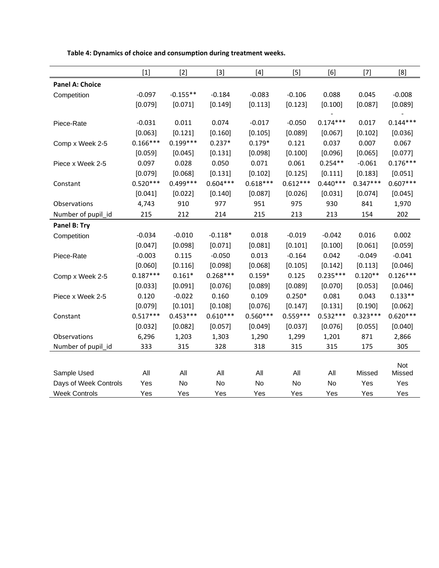|                                                              | $[1]$             | $[2]$            | $[3]$            | $[4] % \includegraphics[width=0.9\columnwidth]{images/TrDiS-Architecture.png} % \caption{The figure shows the results of the estimators in the left and right.} \label{TrDiS-Architecture} %$ | $[5]$            | [6]              | $[7]$                | [8]                         |
|--------------------------------------------------------------|-------------------|------------------|------------------|-----------------------------------------------------------------------------------------------------------------------------------------------------------------------------------------------|------------------|------------------|----------------------|-----------------------------|
| <b>Panel A: Choice</b>                                       |                   |                  |                  |                                                                                                                                                                                               |                  |                  |                      |                             |
| Competition                                                  | $-0.097$          | $-0.155**$       | $-0.184$         | $-0.083$                                                                                                                                                                                      | $-0.106$         | 0.088            | 0.045                | $-0.008$                    |
|                                                              | [0.079]           | [0.071]          | [0.149]          | [0.113]                                                                                                                                                                                       | [0.123]          | [0.100]          | [0.087]              | [0.089]                     |
|                                                              |                   |                  |                  |                                                                                                                                                                                               |                  |                  |                      |                             |
| Piece-Rate                                                   | $-0.031$          | 0.011            | 0.074            | $-0.017$                                                                                                                                                                                      | $-0.050$         | $0.174***$       | 0.017                | $0.144***$                  |
|                                                              | [0.063]           | [0.121]          | [0.160]          | [0.105]                                                                                                                                                                                       | [0.089]          | [0.067]          | [0.102]              | [0.036]                     |
| Comp x Week 2-5                                              | $0.166***$        | $0.199***$       | $0.237*$         | $0.179*$                                                                                                                                                                                      | 0.121            | 0.037            | 0.007                | 0.067                       |
|                                                              | [0.059]           | [0.045]          | [0.131]          | [0.098]                                                                                                                                                                                       | [0.100]          | [0.096]          | [0.065]              | [0.077]                     |
| Piece x Week 2-5                                             | 0.097             | 0.028            | 0.050            | 0.071                                                                                                                                                                                         | 0.061            | $0.254**$        | $-0.061$             | $0.176***$                  |
|                                                              | [0.079]           | [0.068]          | [0.131]          | [0.102]                                                                                                                                                                                       | [0.125]          | [0.111]          | [0.183]              | [0.051]                     |
| Constant                                                     | $0.520***$        | $0.499***$       | $0.604***$       | $0.618***$                                                                                                                                                                                    | $0.612***$       | $0.440***$       | $0.347***$           | $0.607***$                  |
|                                                              | [0.041]           | [0.022]          | [0.140]          | [0.087]                                                                                                                                                                                       | [0.026]          | [0.031]          | [0.074]              | [0.045]                     |
| Observations                                                 | 4,743             | 910              | 977              | 951                                                                                                                                                                                           | 975              | 930              | 841                  | 1,970                       |
| Number of pupil_id                                           | 215               | 212              | 214              | 215                                                                                                                                                                                           | 213              | 213              | 154                  | 202                         |
| Panel B: Try                                                 |                   |                  |                  |                                                                                                                                                                                               |                  |                  |                      |                             |
| Competition                                                  | $-0.034$          | $-0.010$         | $-0.118*$        | 0.018                                                                                                                                                                                         | $-0.019$         | $-0.042$         | 0.016                | 0.002                       |
|                                                              | [0.047]           | [0.098]          | [0.071]          | [0.081]                                                                                                                                                                                       | [0.101]          | [0.100]          | [0.061]              | [0.059]                     |
| Piece-Rate                                                   | $-0.003$          | 0.115            | $-0.050$         | 0.013                                                                                                                                                                                         | $-0.164$         | 0.042            | $-0.049$             | $-0.041$                    |
|                                                              | [0.060]           | [0.116]          | [0.098]          | [0.068]                                                                                                                                                                                       | [0.105]          | [0.142]          | [0.113]              | [0.046]                     |
| Comp x Week 2-5                                              | $0.187***$        | $0.161*$         | $0.268***$       | $0.159*$                                                                                                                                                                                      | 0.125            | $0.235***$       | $0.120**$            | $0.126***$                  |
|                                                              | [0.033]           | [0.091]          | [0.076]          | [0.089]                                                                                                                                                                                       | [0.089]          | [0.070]          | [0.053]              | [0.046]                     |
| Piece x Week 2-5                                             | 0.120             | $-0.022$         | 0.160            | 0.109                                                                                                                                                                                         | $0.250*$         | 0.081            | 0.043                | $0.133**$                   |
|                                                              | [0.079]           | [0.101]          | [0.108]          | [0.076]                                                                                                                                                                                       | [0.147]          | [0.131]          | [0.190]              | [0.062]                     |
| Constant                                                     | $0.517***$        | $0.453***$       | $0.610***$       | $0.560***$                                                                                                                                                                                    | $0.559***$       | $0.532***$       | $0.323***$           | $0.620***$                  |
|                                                              | [0.032]           | [0.082]          | [0.057]          | [0.049]                                                                                                                                                                                       | [0.037]          | [0.076]          | [0.055]              | [0.040]                     |
| Observations                                                 | 6,296             | 1,203            | 1,303            | 1,290                                                                                                                                                                                         | 1,299            | 1,201            | 871                  | 2,866                       |
| Number of pupil_id                                           | 333               | 315              | 328              | 318                                                                                                                                                                                           | 315              | 315              | 175                  | 305                         |
|                                                              |                   |                  |                  |                                                                                                                                                                                               |                  |                  |                      |                             |
|                                                              |                   |                  |                  |                                                                                                                                                                                               |                  |                  |                      |                             |
|                                                              |                   |                  |                  |                                                                                                                                                                                               |                  |                  |                      |                             |
|                                                              |                   |                  |                  |                                                                                                                                                                                               |                  |                  |                      |                             |
| Sample Used<br>Days of Week Controls<br><b>Week Controls</b> | All<br>Yes<br>Yes | All<br>No<br>Yes | All<br>No<br>Yes | All<br>No<br>Yes                                                                                                                                                                              | All<br>No<br>Yes | All<br>No<br>Yes | Missed<br>Yes<br>Yes | Not<br>Missed<br>Yes<br>Yes |

**Table 4: Dynamics of choice and consumption during treatment weeks.**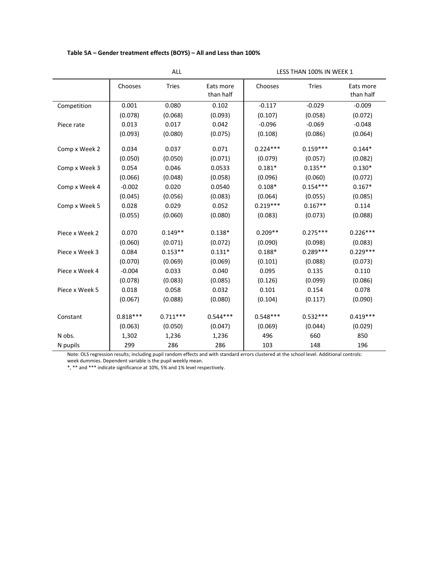## **Table 5A – Gender treatment effects (BOYS) – All and Less than 100%**

|                | ALL        |              |                        | LESS THAN 100% IN WEEK 1 |              |                        |
|----------------|------------|--------------|------------------------|--------------------------|--------------|------------------------|
|                | Chooses    | <b>Tries</b> | Eats more<br>than half | Chooses                  | <b>Tries</b> | Eats more<br>than half |
| Competition    | 0.001      | 0.080        | 0.102                  | $-0.117$                 | $-0.029$     | $-0.009$               |
|                | (0.078)    | (0.068)      | (0.093)                | (0.107)                  | (0.058)      | (0.072)                |
| Piece rate     | 0.013      | 0.017        | 0.042                  | $-0.096$                 | $-0.069$     | $-0.048$               |
|                | (0.093)    | (0.080)      | (0.075)                | (0.108)                  | (0.086)      | (0.064)                |
| Comp x Week 2  | 0.034      | 0.037        | 0.071                  | $0.224***$               | $0.159***$   | $0.144*$               |
|                | (0.050)    | (0.050)      | (0.071)                | (0.079)                  | (0.057)      | (0.082)                |
| Comp x Week 3  | 0.054      | 0.046        | 0.0533                 | $0.181*$                 | $0.135**$    | $0.130*$               |
|                | (0.066)    | (0.048)      | (0.058)                | (0.096)                  | (0.060)      | (0.072)                |
| Comp x Week 4  | $-0.002$   | 0.020        | 0.0540                 | $0.108*$                 | $0.154***$   | $0.167*$               |
|                | (0.045)    | (0.056)      | (0.083)                | (0.064)                  | (0.055)      | (0.085)                |
| Comp x Week 5  | 0.028      | 0.029        | 0.052                  | $0.219***$               | $0.167**$    | 0.114                  |
|                | (0.055)    | (0.060)      | (0.080)                | (0.083)                  | (0.073)      | (0.088)                |
| Piece x Week 2 | 0.070      | $0.149**$    | $0.138*$               | $0.209**$                | $0.275***$   | $0.226***$             |
|                | (0.060)    | (0.071)      | (0.072)                | (0.090)                  | (0.098)      | (0.083)                |
| Piece x Week 3 | 0.084      | $0.153**$    | $0.131*$               | $0.188*$                 | $0.289***$   | $0.229***$             |
|                | (0.070)    | (0.069)      | (0.069)                | (0.101)                  | (0.088)      | (0.073)                |
| Piece x Week 4 | $-0.004$   | 0.033        | 0.040                  | 0.095                    | 0.135        | 0.110                  |
|                | (0.078)    | (0.083)      | (0.085)                | (0.126)                  | (0.099)      | (0.086)                |
| Piece x Week 5 | 0.018      | 0.058        | 0.032                  | 0.101                    | 0.154        | 0.078                  |
|                | (0.067)    | (0.088)      | (0.080)                | (0.104)                  | (0.117)      | (0.090)                |
| Constant       | $0.818***$ | $0.711***$   | $0.544***$             | $0.548***$               | $0.532***$   | $0.419***$             |
|                | (0.063)    | (0.050)      | (0.047)                | (0.069)                  | (0.044)      | (0.029)                |
| N obs.         | 1,302      | 1,236        | 1,236                  | 496                      | 660          | 850                    |
| N pupils       | 299        | 286          | 286                    | 103                      | 148          | 196                    |

Note: OLS regression results; including pupil random effects and with standard errors clustered at the school level. Additional controls:

week dummies. Dependent variable is the pupil weekly mean.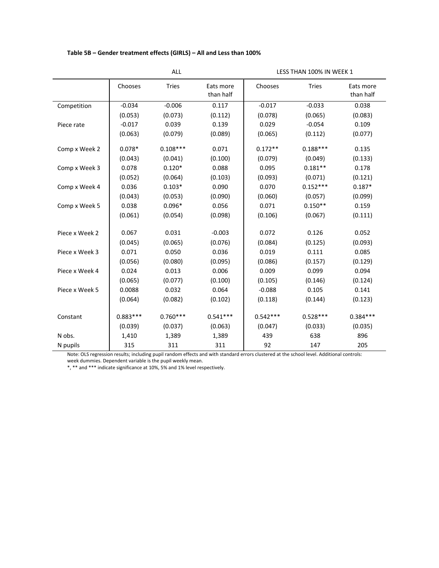## **Table 5B – Gender treatment effects (GIRLS) – All and Less than 100%**

|                | ALL        |              |                        | LESS THAN 100% IN WEEK 1 |              |                        |
|----------------|------------|--------------|------------------------|--------------------------|--------------|------------------------|
|                | Chooses    | <b>Tries</b> | Eats more<br>than half | Chooses                  | <b>Tries</b> | Eats more<br>than half |
| Competition    | $-0.034$   | $-0.006$     | 0.117                  | $-0.017$                 | $-0.033$     | 0.038                  |
|                | (0.053)    | (0.073)      | (0.112)                | (0.078)                  | (0.065)      | (0.083)                |
| Piece rate     | $-0.017$   | 0.039        | 0.139                  | 0.029                    | $-0.054$     | 0.109                  |
|                | (0.063)    | (0.079)      | (0.089)                | (0.065)                  | (0.112)      | (0.077)                |
| Comp x Week 2  | $0.078*$   | $0.108***$   | 0.071                  | $0.172**$                | $0.188***$   | 0.135                  |
|                | (0.043)    | (0.041)      | (0.100)                | (0.079)                  | (0.049)      | (0.133)                |
| Comp x Week 3  | 0.078      | $0.120*$     | 0.088                  | 0.095                    | $0.181**$    | 0.178                  |
|                | (0.052)    | (0.064)      | (0.103)                | (0.093)                  | (0.071)      | (0.121)                |
| Comp x Week 4  | 0.036      | $0.103*$     | 0.090                  | 0.070                    | $0.152***$   | $0.187*$               |
|                | (0.043)    | (0.053)      | (0.090)                | (0.060)                  | (0.057)      | (0.099)                |
| Comp x Week 5  | 0.038      | $0.096*$     | 0.056                  | 0.071                    | $0.150**$    | 0.159                  |
|                | (0.061)    | (0.054)      | (0.098)                | (0.106)                  | (0.067)      | (0.111)                |
| Piece x Week 2 | 0.067      | 0.031        | $-0.003$               | 0.072                    | 0.126        | 0.052                  |
|                | (0.045)    | (0.065)      | (0.076)                | (0.084)                  | (0.125)      | (0.093)                |
| Piece x Week 3 | 0.071      | 0.050        | 0.036                  | 0.019                    | 0.111        | 0.085                  |
|                | (0.056)    | (0.080)      | (0.095)                | (0.086)                  | (0.157)      | (0.129)                |
| Piece x Week 4 | 0.024      | 0.013        | 0.006                  | 0.009                    | 0.099        | 0.094                  |
|                | (0.065)    | (0.077)      | (0.100)                | (0.105)                  | (0.146)      | (0.124)                |
| Piece x Week 5 | 0.0088     | 0.032        | 0.064                  | $-0.088$                 | 0.105        | 0.141                  |
|                | (0.064)    | (0.082)      | (0.102)                | (0.118)                  | (0.144)      | (0.123)                |
| Constant       | $0.883***$ | $0.760***$   | $0.541***$             | $0.542***$               | $0.528***$   | $0.384***$             |
|                | (0.039)    | (0.037)      | (0.063)                | (0.047)                  | (0.033)      | (0.035)                |
| N obs.         | 1,410      | 1,389        | 1,389                  | 439                      | 638          | 896                    |
| N pupils       | 315        | 311          | 311                    | 92                       | 147          | 205                    |

Note: OLS regression results; including pupil random effects and with standard errors clustered at the school level. Additional controls:

week dummies. Dependent variable is the pupil weekly mean.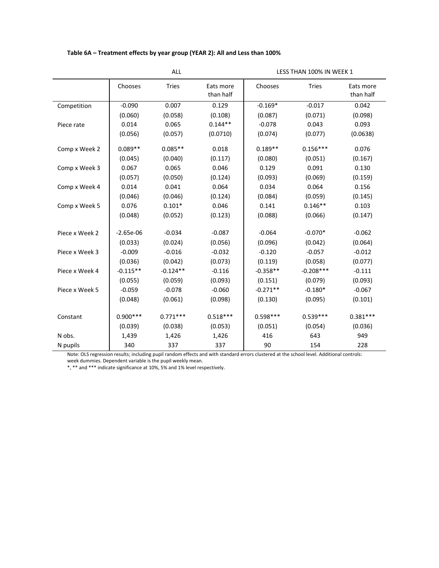## **Table 6A – Treatment effects by year group (YEAR 2): All and Less than 100%**

|                | ALL         |              |                        | LESS THAN 100% IN WEEK 1 |              |                        |
|----------------|-------------|--------------|------------------------|--------------------------|--------------|------------------------|
|                | Chooses     | <b>Tries</b> | Eats more<br>than half | Chooses                  | <b>Tries</b> | Eats more<br>than half |
| Competition    | $-0.090$    | 0.007        | 0.129                  | $-0.169*$                | $-0.017$     | 0.042                  |
|                | (0.060)     | (0.058)      | (0.108)                | (0.087)                  | (0.071)      | (0.098)                |
| Piece rate     | 0.014       | 0.065        | $0.144**$              | $-0.078$                 | 0.043        | 0.093                  |
|                | (0.056)     | (0.057)      | (0.0710)               | (0.074)                  | (0.077)      | (0.0638)               |
| Comp x Week 2  | $0.089**$   | $0.085**$    | 0.018                  | $0.189**$                | $0.156***$   | 0.076                  |
|                | (0.045)     | (0.040)      | (0.117)                | (0.080)                  | (0.051)      | (0.167)                |
| Comp x Week 3  | 0.067       | 0.065        | 0.046                  | 0.129                    | 0.091        | 0.130                  |
|                | (0.057)     | (0.050)      | (0.124)                | (0.093)                  | (0.069)      | (0.159)                |
| Comp x Week 4  | 0.014       | 0.041        | 0.064                  | 0.034                    | 0.064        | 0.156                  |
|                | (0.046)     | (0.046)      | (0.124)                | (0.084)                  | (0.059)      | (0.145)                |
| Comp x Week 5  | 0.076       | $0.101*$     | 0.046                  | 0.141                    | $0.146**$    | 0.103                  |
|                | (0.048)     | (0.052)      | (0.123)                | (0.088)                  | (0.066)      | (0.147)                |
| Piece x Week 2 | $-2.65e-06$ | $-0.034$     | $-0.087$               | $-0.064$                 | $-0.070*$    | $-0.062$               |
|                | (0.033)     | (0.024)      | (0.056)                | (0.096)                  | (0.042)      | (0.064)                |
| Piece x Week 3 | $-0.009$    | $-0.016$     | $-0.032$               | $-0.120$                 | $-0.057$     | $-0.012$               |
|                | (0.036)     | (0.042)      | (0.073)                | (0.119)                  | (0.058)      | (0.077)                |
| Piece x Week 4 | $-0.115**$  | $-0.124**$   | $-0.116$               | $-0.358**$               | $-0.208***$  | $-0.111$               |
|                | (0.055)     | (0.059)      | (0.093)                | (0.151)                  | (0.079)      | (0.093)                |
| Piece x Week 5 | $-0.059$    | $-0.078$     | $-0.060$               | $-0.271**$               | $-0.180*$    | $-0.067$               |
|                | (0.048)     | (0.061)      | (0.098)                | (0.130)                  | (0.095)      | (0.101)                |
| Constant       | $0.900***$  | $0.771***$   | $0.518***$             | $0.598***$               | $0.539***$   | $0.381***$             |
|                | (0.039)     | (0.038)      | (0.053)                | (0.051)                  | (0.054)      | (0.036)                |
| N obs.         | 1,439       | 1,426        | 1,426                  | 416                      | 643          | 949                    |
| N pupils       | 340         | 337          | 337                    | 90                       | 154          | 228                    |

Note: OLS regression results; including pupil random effects and with standard errors clustered at the school level. Additional controls:

week dummies. Dependent variable is the pupil weekly mean.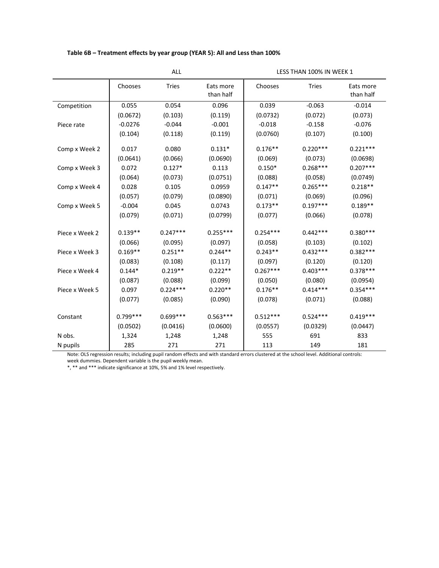## **Table 6B – Treatment effects by year group (YEAR 5): All and Less than 100%**

|                | ALL.       |              |                        | LESS THAN 100% IN WEEK 1 |              |                        |
|----------------|------------|--------------|------------------------|--------------------------|--------------|------------------------|
|                | Chooses    | <b>Tries</b> | Eats more<br>than half | Chooses                  | <b>Tries</b> | Eats more<br>than half |
| Competition    | 0.055      | 0.054        | 0.096                  | 0.039                    | $-0.063$     | $-0.014$               |
|                | (0.0672)   | (0.103)      | (0.119)                | (0.0732)                 | (0.072)      | (0.073)                |
| Piece rate     | $-0.0276$  | $-0.044$     | $-0.001$               | $-0.018$                 | $-0.158$     | $-0.076$               |
|                | (0.104)    | (0.118)      | (0.119)                | (0.0760)                 | (0.107)      | (0.100)                |
| Comp x Week 2  | 0.017      | 0.080        | $0.131*$               | $0.176**$                | $0.220***$   | $0.221***$             |
|                | (0.0641)   | (0.066)      | (0.0690)               | (0.069)                  | (0.073)      | (0.0698)               |
| Comp x Week 3  | 0.072      | $0.127*$     | 0.113                  | $0.150*$                 | $0.268***$   | $0.207***$             |
|                | (0.064)    | (0.073)      | (0.0751)               | (0.088)                  | (0.058)      | (0.0749)               |
| Comp x Week 4  | 0.028      | 0.105        | 0.0959                 | $0.147**$                | $0.265***$   | $0.218**$              |
|                | (0.057)    | (0.079)      | (0.0890)               | (0.071)                  | (0.069)      | (0.096)                |
| Comp x Week 5  | $-0.004$   | 0.045        | 0.0743                 | $0.173**$                | $0.197***$   | $0.189**$              |
|                | (0.079)    | (0.071)      | (0.0799)               | (0.077)                  | (0.066)      | (0.078)                |
| Piece x Week 2 | $0.139**$  | $0.247***$   | $0.255***$             | $0.254***$               | $0.442***$   | $0.380***$             |
|                | (0.066)    | (0.095)      | (0.097)                | (0.058)                  | (0.103)      | (0.102)                |
| Piece x Week 3 | $0.169**$  | $0.251**$    | $0.244**$              | $0.243**$                | $0.432***$   | $0.382***$             |
|                | (0.083)    | (0.108)      | (0.117)                | (0.097)                  | (0.120)      | (0.120)                |
| Piece x Week 4 | $0.144*$   | $0.219**$    | $0.222**$              | $0.267***$               | $0.403***$   | $0.378***$             |
|                | (0.087)    | (0.088)      | (0.099)                | (0.050)                  | (0.080)      | (0.0954)               |
| Piece x Week 5 | 0.097      | $0.224***$   | $0.220**$              | $0.176**$                | $0.414***$   | $0.354***$             |
|                | (0.077)    | (0.085)      | (0.090)                | (0.078)                  | (0.071)      | (0.088)                |
| Constant       | $0.799***$ | $0.699***$   | $0.563***$             | $0.512***$               | $0.524***$   | $0.419***$             |
|                | (0.0502)   | (0.0416)     | (0.0600)               | (0.0557)                 | (0.0329)     | (0.0447)               |
| N obs.         | 1,324      | 1,248        | 1,248                  | 555                      | 691          | 833                    |
| N pupils       | 285        | 271          | 271                    | 113                      | 149          | 181                    |

Note: OLS regression results; including pupil random effects and with standard errors clustered at the school level. Additional controls:

week dummies. Dependent variable is the pupil weekly mean.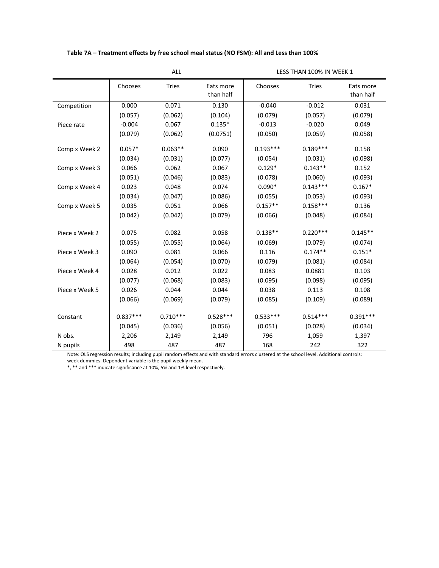## **Table 7A – Treatment effects by free school meal status (NO FSM): All and Less than 100%**

LESS THAN 100% IN WEEK 1

|                | Chooses    | <b>Tries</b> | Eats more<br>than half | Chooses    | <b>Tries</b> | Eats more<br>than half |
|----------------|------------|--------------|------------------------|------------|--------------|------------------------|
| Competition    | 0.000      | 0.071        | 0.130                  | $-0.040$   | $-0.012$     | 0.031                  |
|                | (0.057)    | (0.062)      | (0.104)                | (0.079)    | (0.057)      | (0.079)                |
| Piece rate     | $-0.004$   | 0.067        | $0.135*$               | $-0.013$   | $-0.020$     | 0.049                  |
|                | (0.079)    | (0.062)      | (0.0751)               | (0.050)    | (0.059)      | (0.058)                |
| Comp x Week 2  | $0.057*$   | $0.063**$    | 0.090                  | $0.193***$ | $0.189***$   | 0.158                  |
|                | (0.034)    | (0.031)      | (0.077)                | (0.054)    | (0.031)      | (0.098)                |
| Comp x Week 3  | 0.066      | 0.062        | 0.067                  | $0.129*$   | $0.143**$    | 0.152                  |
|                | (0.051)    | (0.046)      | (0.083)                | (0.078)    | (0.060)      | (0.093)                |
| Comp x Week 4  | 0.023      | 0.048        | 0.074                  | $0.090*$   | $0.143***$   | $0.167*$               |
|                | (0.034)    | (0.047)      | (0.086)                | (0.055)    | (0.053)      | (0.093)                |
| Comp x Week 5  | 0.035      | 0.051        | 0.066                  | $0.157**$  | $0.158***$   | 0.136                  |
|                | (0.042)    | (0.042)      | (0.079)                | (0.066)    | (0.048)      | (0.084)                |
| Piece x Week 2 | 0.075      | 0.082        | 0.058                  | $0.138**$  | $0.220***$   | $0.145**$              |
|                | (0.055)    | (0.055)      | (0.064)                | (0.069)    | (0.079)      | (0.074)                |
| Piece x Week 3 | 0.090      | 0.081        | 0.066                  | 0.116      | $0.174**$    | $0.151*$               |
|                | (0.064)    | (0.054)      | (0.070)                | (0.079)    | (0.081)      | (0.084)                |
| Piece x Week 4 | 0.028      | 0.012        | 0.022                  | 0.083      | 0.0881       | 0.103                  |
|                | (0.077)    | (0.068)      | (0.083)                | (0.095)    | (0.098)      | (0.095)                |
| Piece x Week 5 | 0.026      | 0.044        | 0.044                  | 0.038      | 0.113        | 0.108                  |
|                | (0.066)    | (0.069)      | (0.079)                | (0.085)    | (0.109)      | (0.089)                |
| Constant       | $0.837***$ | $0.710***$   | $0.528***$             | $0.533***$ | $0.514***$   | $0.391***$             |
|                | (0.045)    | (0.036)      | (0.056)                | (0.051)    | (0.028)      | (0.034)                |
| N obs.         | 2,206      | 2,149        | 2,149                  | 796        | 1,059        | 1,397                  |
| N pupils       | 498        | 487          | 487                    | 168        | 242          | 322                    |

Note: OLS regression results; including pupil random effects and with standard errors clustered at the school level. Additional controls:

week dummies. Dependent variable is the pupil weekly mean.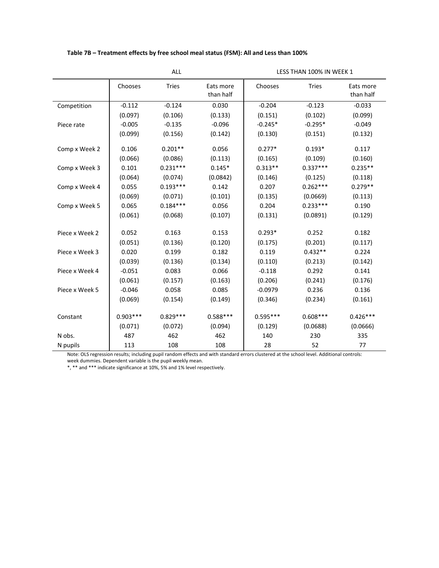## **Table 7B – Treatment effects by free school meal status (FSM): All and Less than 100%**

LESS THAN 100% IN WEEK 1

|                | Chooses    | <b>Tries</b> | Eats more<br>than half | Chooses    | <b>Tries</b> | Eats more<br>than half |
|----------------|------------|--------------|------------------------|------------|--------------|------------------------|
| Competition    | $-0.112$   | $-0.124$     | 0.030                  | $-0.204$   | $-0.123$     | $-0.033$               |
|                | (0.097)    | (0.106)      | (0.133)                | (0.151)    | (0.102)      | (0.099)                |
| Piece rate     | $-0.005$   | $-0.135$     | $-0.096$               | $-0.245*$  | $-0.295*$    | $-0.049$               |
|                | (0.099)    | (0.156)      | (0.142)                | (0.130)    | (0.151)      | (0.132)                |
|                |            |              |                        |            |              |                        |
| Comp x Week 2  | 0.106      | $0.201**$    | 0.056                  | $0.277*$   | $0.193*$     | 0.117                  |
|                | (0.066)    | (0.086)      | (0.113)<br>(0.165)     |            | (0.109)      | (0.160)                |
| Comp x Week 3  | 0.101      | $0.231***$   | $0.145*$               | $0.313**$  | $0.337***$   | $0.235**$              |
|                | (0.064)    | (0.074)      | (0.0842)               | (0.146)    | (0.125)      | (0.118)                |
| Comp x Week 4  | 0.055      | $0.193***$   | 0.142                  | 0.207      | $0.262***$   | $0.279**$              |
|                | (0.069)    | (0.071)      | (0.101)                | (0.135)    | (0.0669)     | (0.113)                |
| Comp x Week 5  | 0.065      | $0.184***$   | 0.056                  | 0.204      | $0.233***$   | 0.190                  |
|                | (0.061)    | (0.068)      | (0.107)                | (0.131)    | (0.0891)     | (0.129)                |
|                |            |              |                        |            |              |                        |
| Piece x Week 2 | 0.052      | 0.163        | 0.153                  | $0.293*$   | 0.252        | 0.182                  |
|                | (0.051)    | (0.136)      | (0.120)                | (0.175)    | (0.201)      | (0.117)                |
| Piece x Week 3 | 0.020      | 0.199        | 0.182                  | 0.119      | $0.432**$    | 0.224                  |
|                | (0.039)    | (0.136)      | (0.134)                | (0.110)    | (0.213)      | (0.142)                |
| Piece x Week 4 | $-0.051$   | 0.083        | 0.066                  | $-0.118$   | 0.292        | 0.141                  |
|                | (0.061)    | (0.157)      | (0.163)                | (0.206)    | (0.241)      | (0.176)                |
| Piece x Week 5 | $-0.046$   | 0.058        | 0.085                  | $-0.0979$  | 0.236        | 0.136                  |
|                | (0.069)    | (0.154)      | (0.149)                | (0.346)    | (0.234)      | (0.161)                |
|                |            |              |                        |            |              |                        |
| Constant       | $0.903***$ | $0.829***$   | $0.588***$             | $0.595***$ | $0.608***$   | $0.426***$             |
|                | (0.071)    | (0.072)      | (0.094)                | (0.129)    | (0.0688)     | (0.0666)               |
| N obs.         | 487        | 462          | 462                    | 140        | 230          | 335                    |
| N pupils       | 113        | 108          | 108                    | 28         | 52           | 77                     |

Note: OLS regression results; including pupil random effects and with standard errors clustered at the school level. Additional controls:

week dummies. Dependent variable is the pupil weekly mean.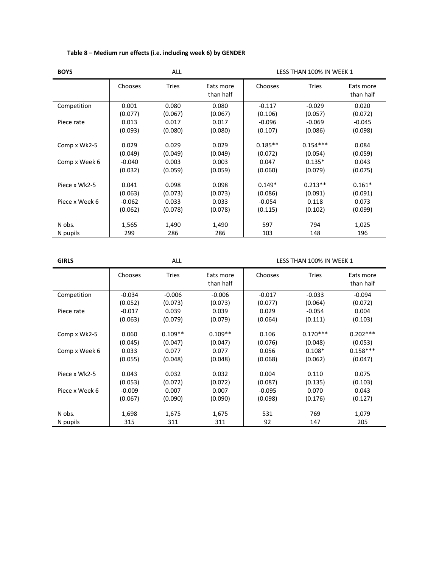| <b>BOYS</b>                   |                                         | <b>ALL</b>                           |                                      | LESS THAN 100% IN WEEK 1                 |                                              |                                      |  |  |
|-------------------------------|-----------------------------------------|--------------------------------------|--------------------------------------|------------------------------------------|----------------------------------------------|--------------------------------------|--|--|
|                               | Chooses                                 | <b>Tries</b>                         | Eats more<br>than half               | Chooses                                  | <b>Tries</b>                                 | Eats more<br>than half               |  |  |
| Competition                   | 0.001                                   | 0.080                                | 0.080                                | $-0.117$                                 | $-0.029$                                     | 0.020                                |  |  |
|                               | (0.077)                                 | (0.067)                              | (0.067)                              | (0.106)                                  | (0.057)                                      | (0.072)                              |  |  |
| Piece rate                    | 0.013                                   | 0.017                                | 0.017                                | $-0.096$                                 | $-0.069$                                     | $-0.045$                             |  |  |
|                               | (0.093)                                 | (0.080)                              | (0.080)                              | (0.107)                                  | (0.086)                                      | (0.098)                              |  |  |
| Comp x Wk2-5<br>Comp x Week 6 | 0.029<br>(0.049)<br>$-0.040$<br>(0.032) | 0.029<br>(0.049)<br>0.003<br>(0.059) | 0.029<br>(0.049)<br>0.003<br>(0.059) | $0.185**$<br>(0.072)<br>0.047<br>(0.060) | $0.154***$<br>(0.054)<br>$0.135*$<br>(0.079) | 0.084<br>(0.059)<br>0.043<br>(0.075) |  |  |
| Piece x Wk2-5                 | 0.041                                   | 0.098                                | 0.098                                | $0.149*$                                 | $0.213**$                                    | $0.161*$                             |  |  |
|                               | (0.063)                                 | (0.073)                              | (0.073)                              | (0.086)                                  | (0.091)                                      | (0.091)                              |  |  |
| Piece x Week 6                | $-0.062$                                | 0.033                                | 0.033                                | $-0.054$                                 | 0.118                                        | 0.073                                |  |  |
|                               | (0.062)                                 | (0.078)                              | (0.078)                              | (0.115)                                  | (0.102)                                      | (0.099)                              |  |  |
| N obs.<br>N pupils            | 1,565<br>299                            | 1,490<br>286                         | 1,490<br>286                         | 597<br>103                               | 794<br>148                                   | 1,025<br>196                         |  |  |

## **Table 8 – Medium run effects (i.e. including week 6) by GENDER**

**GIRLS GIRLS ALL ALL ALL ALL ALL LESS THAN 100% IN WEEK 1** 

|                | Chooses  | <b>Tries</b>                    | <b>Tries</b><br>Chooses<br>Eats more<br>than half |            |            | Eats more<br>than half |
|----------------|----------|---------------------------------|---------------------------------------------------|------------|------------|------------------------|
| Competition    | $-0.034$ | $-0.006$                        | $-0.006$                                          | $-0.017$   | $-0.033$   | $-0.094$               |
|                | (0.052)  | (0.073)                         | (0.073)                                           | (0.077)    | (0.064)    | (0.072)                |
| Piece rate     | $-0.017$ | 0.039                           | 0.039                                             | 0.029      | $-0.054$   | 0.004                  |
|                | (0.063)  | (0.079)                         | (0.079)                                           | (0.064)    | (0.111)    | (0.103)                |
| Comp x Wk2-5   | 0.060    | $0.109**$<br>$0.109**$<br>0.106 |                                                   | $0.170***$ | $0.202***$ |                        |
|                | (0.045)  | (0.047)                         | (0.047)                                           | (0.076)    | (0.048)    | (0.053)                |
| Comp x Week 6  | 0.033    | 0.077                           | 0.077                                             | 0.056      | $0.108*$   | $0.158***$             |
|                | (0.055)  | (0.048)                         | (0.048)                                           | (0.068)    | (0.062)    | (0.047)                |
| Piece x Wk2-5  | 0.043    | 0.032                           | 0.032                                             | 0.004      | 0.110      | 0.075                  |
|                | (0.053)  | (0.072)                         | (0.072)                                           | (0.087)    | (0.135)    | (0.103)                |
| Piece x Week 6 | $-0.009$ | 0.007                           | 0.007                                             | $-0.095$   | 0.070      | 0.043                  |
|                | (0.067)  | (0.090)                         | (0.090)                                           | (0.098)    | (0.176)    | (0.127)                |
| N obs.         | 1,698    | 1,675                           | 1,675                                             | 531        | 769        | 1,079                  |
| N pupils       | 315      | 311                             | 311                                               | 92         | 147        | 205                    |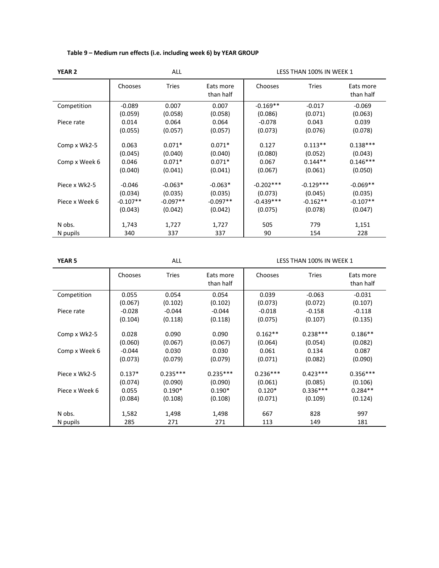| <b>YEAR 2</b>  | <b>ALL</b><br>LESS THAN 100% IN WEEK 1 |              |                        |             |              |                        |  |  |
|----------------|----------------------------------------|--------------|------------------------|-------------|--------------|------------------------|--|--|
|                | <b>Chooses</b>                         | <b>Tries</b> | Eats more<br>than half | Chooses     | <b>Tries</b> | Eats more<br>than half |  |  |
| Competition    | $-0.089$                               | 0.007        | 0.007                  | $-0.169**$  | $-0.017$     | $-0.069$               |  |  |
|                | (0.059)                                | (0.058)      | (0.058)                | (0.086)     | (0.071)      | (0.063)                |  |  |
| Piece rate     | 0.014                                  | 0.064        | 0.064                  | $-0.078$    | 0.043        | 0.039                  |  |  |
|                | (0.055)                                | (0.057)      | (0.057)                | (0.073)     | (0.076)      | (0.078)                |  |  |
|                |                                        |              |                        |             |              |                        |  |  |
| Comp x Wk2-5   | 0.063                                  | $0.071*$     | $0.071*$               | 0.127       | $0.113**$    | $0.138***$             |  |  |
|                | (0.045)                                | (0.040)      | (0.040)                | (0.080)     | (0.052)      | (0.043)                |  |  |
| Comp x Week 6  | 0.046                                  | $0.071*$     | $0.071*$               | 0.067       | $0.144**$    | $0.146***$             |  |  |
|                | (0.040)                                | (0.041)      | (0.041)                | (0.067)     | (0.061)      | (0.050)                |  |  |
| Piece x Wk2-5  | $-0.046$                               | $-0.063*$    | $-0.063*$              | $-0.202***$ | $-0.129***$  | $-0.069**$             |  |  |
|                | (0.034)                                | (0.035)      | (0.035)                | (0.073)     | (0.045)      | (0.035)                |  |  |
| Piece x Week 6 | $-0.107**$                             | $-0.097**$   | $-0.097**$             | $-0.439***$ | $-0.162**$   | $-0.107**$             |  |  |
|                | (0.043)                                | (0.042)      | (0.042)                | (0.075)     | (0.078)      | (0.047)                |  |  |
|                |                                        |              |                        |             |              |                        |  |  |
| N obs.         | 1,743                                  | 1,727        | 1,727                  | 505         | 779          | 1,151                  |  |  |
| N pupils       | 340                                    | 337          | 337                    | 90          | 154          | 228                    |  |  |

## **Table 9 – Medium run effects (i.e. including week 6) by YEAR GROUP**

**YEAR 5** ALL ALL ALL ALL ALL LESS THAN 100% IN WEEK 1

|                | Chooses  | <b>Tries</b> | Eats more<br>than half | Chooses    | <b>Tries</b> | Eats more<br>than half |
|----------------|----------|--------------|------------------------|------------|--------------|------------------------|
| Competition    | 0.055    | 0.054        | 0.054                  | 0.039      | $-0.063$     | $-0.031$               |
|                | (0.067)  | (0.102)      | (0.102)                | (0.073)    | (0.072)      | (0.107)                |
| Piece rate     | $-0.028$ | $-0.044$     | $-0.044$               | $-0.018$   | $-0.158$     | $-0.118$               |
|                | (0.104)  | (0.118)      | (0.118)                | (0.075)    | (0.107)      | (0.135)                |
| Comp x Wk2-5   | 0.028    | 0.090        | 0.090                  | $0.162**$  | $0.238***$   | $0.186**$              |
|                | (0.060)  | (0.067)      | (0.067)                | (0.064)    | (0.054)      | (0.082)                |
| Comp x Week 6  | $-0.044$ | 0.030        | 0.030                  | 0.061      | 0.134        | 0.087                  |
|                | (0.073)  | (0.079)      | (0.079)                | (0.071)    | (0.082)      | (0.090)                |
| Piece x Wk2-5  | $0.137*$ | $0.235***$   | $0.235***$             | $0.236***$ | $0.423***$   | $0.356***$             |
|                | (0.074)  | (0.090)      | (0.090)                | (0.061)    | (0.085)      | (0.106)                |
| Piece x Week 6 | 0.055    | $0.190*$     | $0.190*$               | $0.120*$   | $0.336***$   | $0.284**$              |
|                | (0.084)  | (0.108)      | (0.108)                | (0.071)    | (0.109)      | (0.124)                |
| N obs.         | 1,582    | 1,498        | 1,498                  | 667        | 828          | 997                    |
| N pupils       | 285      | 271          | 271                    | 113        | 149          | 181                    |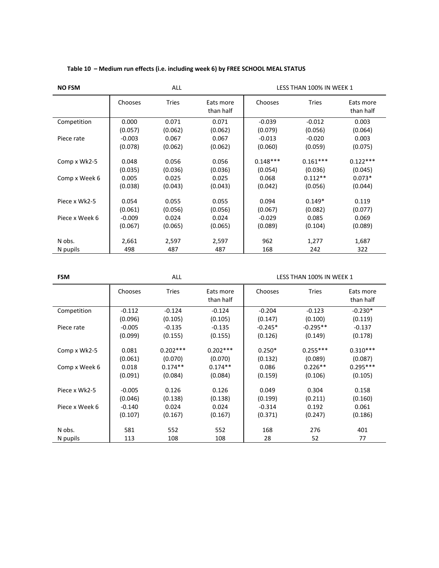| <b>NO FSM</b>                 |                                      | ALL                                  |                                      | LESS THAN 100% IN WEEK 1                  |                                               |                                              |  |  |
|-------------------------------|--------------------------------------|--------------------------------------|--------------------------------------|-------------------------------------------|-----------------------------------------------|----------------------------------------------|--|--|
|                               | Chooses                              | <b>Tries</b>                         | Eats more<br>than half               | Chooses                                   | <b>Tries</b>                                  | Eats more<br>than half                       |  |  |
| Competition                   | 0.000                                | 0.071                                | 0.071                                | $-0.039$                                  | $-0.012$                                      | 0.003                                        |  |  |
|                               | (0.057)                              | (0.062)                              | (0.062)                              | (0.079)                                   | (0.056)                                       | (0.064)                                      |  |  |
| Piece rate                    | $-0.003$                             | 0.067                                | 0.067                                | $-0.013$                                  | $-0.020$                                      | 0.003                                        |  |  |
|                               | (0.078)                              | (0.062)                              | (0.062)                              | (0.060)                                   | (0.059)                                       | (0.075)                                      |  |  |
| Comp x Wk2-5<br>Comp x Week 6 | 0.048<br>(0.035)<br>0.005<br>(0.038) | 0.056<br>(0.036)<br>0.025<br>(0.043) | 0.056<br>(0.036)<br>0.025<br>(0.043) | $0.148***$<br>(0.054)<br>0.068<br>(0.042) | $0.161***$<br>(0.036)<br>$0.112**$<br>(0.056) | $0.122***$<br>(0.045)<br>$0.073*$<br>(0.044) |  |  |
| Piece x Wk2-5                 | 0.054                                | 0.055                                | 0.055                                | 0.094                                     | $0.149*$                                      | 0.119                                        |  |  |
|                               | (0.061)                              | (0.056)                              | (0.056)                              | (0.067)                                   | (0.082)                                       | (0.077)                                      |  |  |
| Piece x Week 6                | $-0.009$                             | 0.024                                | 0.024                                | $-0.029$                                  | 0.085                                         | 0.069                                        |  |  |
|                               | (0.067)                              | (0.065)                              | (0.065)                              | (0.089)                                   | (0.104)                                       | (0.089)                                      |  |  |
| N obs.                        | 2,661                                | 2,597                                | 2,597                                | 962                                       | 1,277                                         | 1,687                                        |  |  |
| N pupils                      | 498                                  | 487                                  | 487                                  | 168                                       | 242                                           | 322                                          |  |  |

## **Table 10 – Medium run effects (i.e. including week 6) by FREE SCHOOL MEAL STATUS**

| <b>FSM</b>     |                     | ALL                   |                        | LESS THAN 100% IN WEEK 1 |                       |                        |  |  |
|----------------|---------------------|-----------------------|------------------------|--------------------------|-----------------------|------------------------|--|--|
|                | Chooses             | <b>Tries</b>          | Eats more<br>than half | Chooses                  | <b>Tries</b>          | Eats more<br>than half |  |  |
| Competition    | $-0.112$            | $-0.124$              | $-0.124$               | $-0.204$                 | $-0.123$              | $-0.230*$              |  |  |
|                | (0.096)             | (0.105)               | (0.105)                | (0.147)                  | (0.100)               | (0.119)                |  |  |
| Piece rate     | $-0.005$            | $-0.135$              | $-0.135$               | $-0.245*$                | $-0.295**$            | $-0.137$               |  |  |
|                | (0.099)             | (0.155)               | (0.155)                | (0.126)                  | (0.149)               | (0.178)                |  |  |
| Comp x Wk2-5   | 0.081<br>(0.061)    | $0.202***$<br>(0.070) | $0.202***$<br>(0.070)  | $0.250*$<br>(0.132)      | $0.255***$<br>(0.089) | $0.310***$<br>(0.087)  |  |  |
| Comp x Week 6  | 0.018               | $0.174**$             | $0.174**$              | 0.086                    | $0.226**$             | $0.295***$             |  |  |
|                | (0.091)             | (0.084)               | (0.084)                | (0.159)                  | (0.106)               | (0.105)                |  |  |
| Piece x Wk2-5  | $-0.005$<br>(0.046) | 0.126<br>(0.138)      | 0.126<br>(0.138)       | 0.049<br>(0.199)         | 0.304<br>(0.211)      | 0.158<br>(0.160)       |  |  |
| Piece x Week 6 | $-0.140$            | 0.024                 | 0.024                  | $-0.314$                 | 0.192                 | 0.061                  |  |  |
|                | (0.107)             | (0.167)               | (0.167)                | (0.371)                  | (0.247)               | (0.186)                |  |  |
| N obs.         | 581                 | 552                   | 552                    | 168                      | 276                   | 401                    |  |  |
| N pupils       | 113                 | 108                   | 108                    | 28                       | 52                    | 77                     |  |  |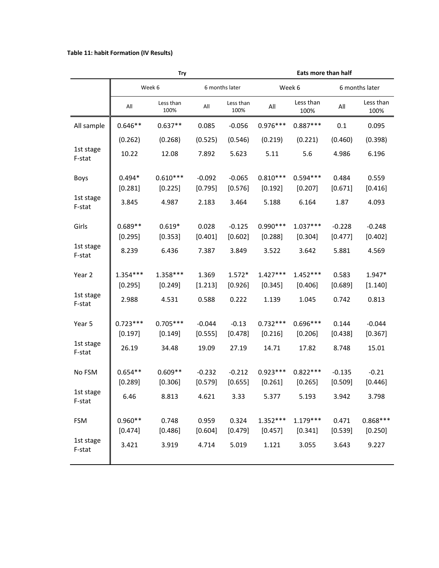## **Table 11: habit Formation (IV Results)**

|                     |            | <b>Try</b>        |          |                   |            | Eats more than half |           |                   |
|---------------------|------------|-------------------|----------|-------------------|------------|---------------------|-----------|-------------------|
|                     |            | Week 6            |          | 6 months later    |            | Week 6              |           | 6 months later    |
|                     | All        | Less than<br>100% | All      | Less than<br>100% | All        | Less than<br>100%   | All       | Less than<br>100% |
| All sample          | $0.646**$  | $0.637**$         | 0.085    | $-0.056$          | $0.976***$ | $0.887***$          | 0.1       | 0.095             |
|                     | (0.262)    | (0.268)           | (0.525)  | (0.546)           | (0.219)    | (0.221)             | (0.460)   | (0.398)           |
| 1st stage<br>F-stat | 10.22      | 12.08             | 7.892    | 5.623             | 5.11       | 5.6                 | 4.986     | 6.196             |
| Boys                | $0.494*$   | $0.610***$        | $-0.092$ | $-0.065$          | $0.810***$ | $0.594***$          | 0.484     | 0.559             |
|                     | [0.281]    | [0.225]           | [0.795]  | [0.576]           | [0.192]    | [0.207]             | [0.671]   | [0.416]           |
| 1st stage<br>F-stat | 3.845      | 4.987             | 2.183    | 3.464             | 5.188      | 6.164               | 1.87      | 4.093             |
| Girls               | $0.689**$  | $0.619*$          | 0.028    | $-0.125$          | $0.990***$ | $1.037***$          | $-0.228$  | $-0.248$          |
|                     | [0.295]    | [0.353]           | [0.401]  | [0.602]           | [0.288]    | [0.304]             | [0.477]   | [0.402]           |
| 1st stage<br>F-stat | 8.239      | 6.436             | 7.387    | 3.849             | 3.522      | 3.642               | 5.881     | 4.569             |
| Year 2              | $1.354***$ | 1.358***          | 1.369    | $1.572*$          | $1.427***$ | $1.452***$          | 0.583     | 1.947*            |
|                     | [0.295]    | [0.249]           | [1.213]  | [0.926]           | [0.345]    | [0.406]             | [0.689]   | [1.140]           |
| 1st stage<br>F-stat | 2.988      | 4.531             | 0.588    | 0.222             | 1.139      | 1.045               | 0.742     | 0.813             |
| Year 5              | $0.723***$ | $0.705***$        | $-0.044$ | $-0.13$           | $0.732***$ | $0.696***$          | 0.144     | $-0.044$          |
|                     | [0.197]    | [0.149]           | [0.555]  | [0.478]           | [0.216]    | [0.206]             | $[0.438]$ | [0.367]           |
| 1st stage<br>F-stat | 26.19      | 34.48             | 19.09    | 27.19             | 14.71      | 17.82               | 8.748     | 15.01             |
| No FSM              | $0.654**$  | $0.609**$         | $-0.232$ | $-0.212$          | $0.923***$ | $0.822***$          | $-0.135$  | $-0.21$           |
|                     | [0.289]    | [0.306]           | [0.579]  | [0.655]           | [0.261]    | [0.265]             | [0.509]   | [0.446]           |
| 1st stage<br>F-stat | 6.46       | 8.813             | 4.621    | 3.33              | 5.377      | 5.193               | 3.942     | 3.798             |
| <b>FSM</b>          | $0.960**$  | 0.748             | 0.959    | 0.324             | $1.352***$ | $1.179***$          | 0.471     | $0.868***$        |
|                     | [0.474]    | [0.486]           | [0.604]  | [0.479]           | [0.457]    | [0.341]             | [0.539]   | [0.250]           |
| 1st stage<br>F-stat | 3.421      | 3.919             | 4.714    | 5.019             | 1.121      | 3.055               | 3.643     | 9.227             |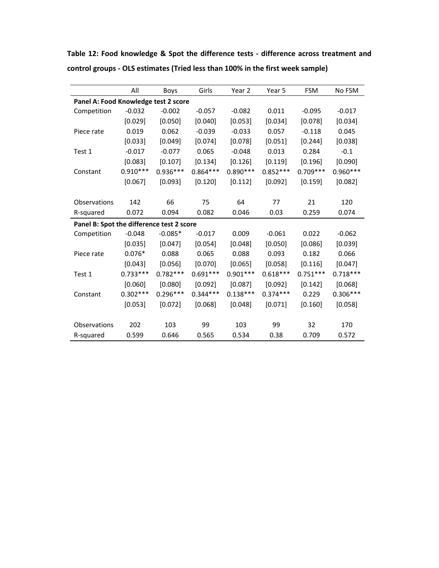|                                           | All        | Boys       | Girls      | Year 2     | Year 5     | <b>FSM</b> | No FSM     |
|-------------------------------------------|------------|------------|------------|------------|------------|------------|------------|
| Panel A: Food Knowledge test 2 score      |            |            |            |            |            |            |            |
| Competition                               | $-0.032$   | $-0.002$   | $-0.057$   | $-0.082$   | 0.011      | $-0.095$   | $-0.017$   |
|                                           | [0.029]    | [0.050]    | [0.040]    | [0.053]    | [0.034]    | [0.078]    | [0.034]    |
| Piece rate                                | 0.019      | 0.062      | $-0.039$   | $-0.033$   | 0.057      | $-0.118$   | 0.045      |
|                                           | [0.033]    | [0.049]    | [0.074]    | [0.078]    | [0.051]    | [0.244]    | [0.038]    |
| Test 1                                    | $-0.017$   | $-0.077$   | 0.065      | $-0.048$   | 0.013      | 0.284      | $-0.1$     |
|                                           | [0.083]    | [0.107]    | [0.134]    | [0.126]    | [0.119]    | [0.196]    | [0.090]    |
| Constant                                  | $0.910***$ | $0.936***$ | $0.864***$ | $0.890***$ | $0.852***$ | $0.709***$ | $0.960***$ |
|                                           | [0.067]    | [0.093]    | [0.120]    | [0.112]    | [0.092]    | [0.159]    | [0.082]    |
|                                           |            |            |            |            |            |            |            |
| Observations                              | 142        | 66         | 75         | 64         | 77         | 21         | 120        |
| R-squared                                 | 0.072      | 0.094      | 0.082      | 0.046      | 0.03       | 0.259      | 0.074      |
| Panel B: Spot the difference test 2 score |            |            |            |            |            |            |            |
| Competition                               | $-0.048$   | $-0.085*$  | $-0.017$   | 0.009      | $-0.061$   | 0.022      | $-0.062$   |
|                                           | [0.035]    | [0.047]    | [0.054]    | [0.048]    | [0.050]    | [0.086]    | [0.039]    |
| Piece rate                                | $0.076*$   | 0.088      | 0.065      | 0.088      | 0.093      | 0.182      | 0.066      |
|                                           | [0.043]    | [0.056]    | [0.070]    | [0.065]    | [0.058]    | [0.116]    | [0.047]    |
| Test 1                                    | $0.733***$ | $0.782***$ | $0.691***$ | $0.901***$ | $0.618***$ | $0.751***$ | $0.718***$ |
|                                           | [0.060]    | [0.080]    | [0.092]    | [0.087]    | [0.092]    | [0.142]    | [0.068]    |
| Constant                                  | $0.302***$ | $0.296***$ | $0.344***$ | $0.138***$ | $0.374***$ | 0.229      | $0.306***$ |
|                                           | [0.053]    | [0.072]    | [0.068]    | [0.048]    | [0.071]    | [0.160]    | [0.058]    |
|                                           |            |            |            |            |            |            |            |
| Observations                              | 202        | 103        | 99         | 103        | 99         | 32         | 170        |
| R-squared                                 | 0.599      | 0.646      | 0.565      | 0.534      | 0.38       | 0.709      | 0.572      |

**Table 12: Food knowledge & Spot the difference tests ‐ difference across treatment and control groups ‐ OLS estimates (Tried less than 100% in the first week sample)**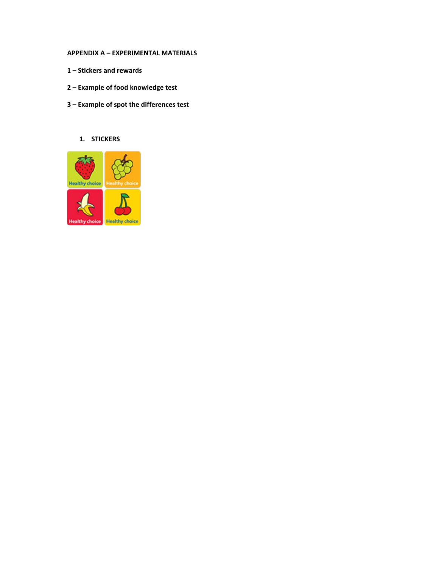## **APPENDIX A – EXPERIMENTAL MATERIALS**

- **1 – Stickers and rewards**
- **2 – Example of food knowledge test**
- **3 – Example of spot the differences test**

## **1. STICKERS**

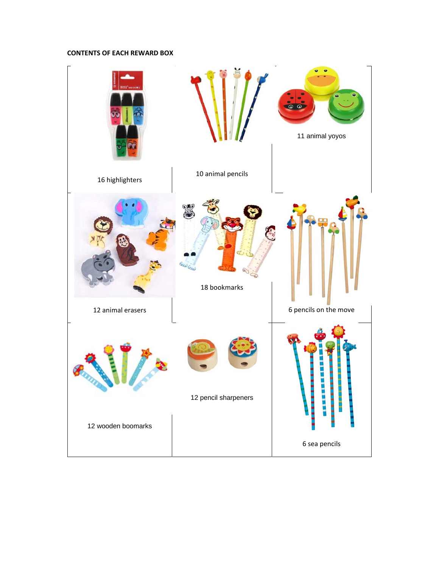## **CONTENTS OF EACH REWARD BOX**

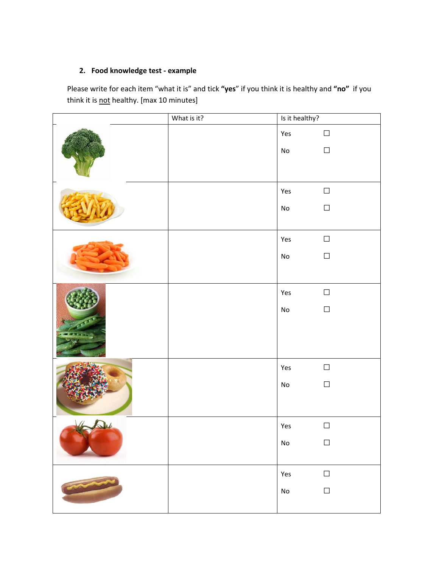## **2. Food knowledge test ‐ example**

Please write for each item "what it is" and tick **"yes**" if you think it is healthy and **"no"** if you think it is not healthy. [max 10 minutes]

| What is it? | Is it healthy?               |        |
|-------------|------------------------------|--------|
|             | Yes                          | $\Box$ |
|             | $\operatorname{\mathsf{No}}$ | $\Box$ |
|             |                              |        |
|             | Yes                          | $\Box$ |
|             | $\mathsf{No}$                | $\Box$ |
|             | Yes                          | $\Box$ |
|             | $\operatorname{\mathsf{No}}$ | $\Box$ |
|             |                              |        |
|             | Yes                          | $\Box$ |
|             | $\operatorname{\mathsf{No}}$ | $\Box$ |
|             |                              |        |
|             | Yes                          | $\Box$ |
|             | No                           | $\Box$ |
|             |                              |        |
|             | Yes                          | $\Box$ |
|             | ${\sf No}$                   | $\Box$ |
|             | Yes                          | $\Box$ |
|             | $\mathsf{No}$                | $\Box$ |
|             |                              |        |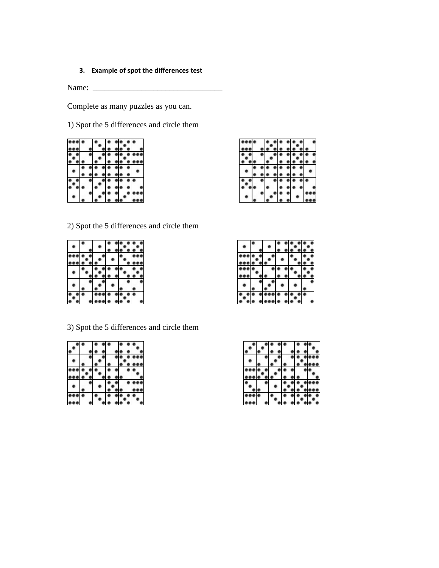## **3. Example of spot the differences test**

Name: \_\_\_\_\_\_\_\_\_\_\_\_\_\_\_\_\_\_\_\_\_\_\_\_\_\_\_\_\_\_\_\_

Complete as many puzzles as you can.

1) Spot the 5 differences and circle them

| eee                     |  |                                                     |  | $\bullet\quad \bullet\quad \bullet$          |                         |
|-------------------------|--|-----------------------------------------------------|--|----------------------------------------------|-------------------------|
| $\bullet\bullet\bullet$ |  | $\bullet\quad \bullet\bullet\bullet$                |  |                                              | $\bullet\bullet\bullet$ |
|                         |  |                                                     |  |                                              |                         |
| $^{\circ}$              |  | $\circ$ $\circ$ $\circ$ $\circ$ $\circ$ $\circ$     |  |                                              |                         |
|                         |  | $\bullet\bullet\bullet\bullet\bullet\bullet\bullet$ |  |                                              |                         |
|                         |  |                                                     |  |                                              |                         |
|                         |  |                                                     |  | $\bullet\bullet\bullet\bullet\bullet\bullet$ |                         |
|                         |  |                                                     |  |                                              |                         |
|                         |  |                                                     |  |                                              |                         |
|                         |  |                                                     |  |                                              |                         |

| $\bullet\bullet\bullet\bullet$ |     |           |    |                                                        |           |                     |                         |  |
|--------------------------------|-----|-----------|----|--------------------------------------------------------|-----------|---------------------|-------------------------|--|
|                                |     |           |    | $\bullet\bullet\bullet\bullet\bullet$                  |           |                     | $\bullet\bullet\bullet$ |  |
|                                |     | $\bullet$ |    | $\bullet\bullet\bullet$                                |           |                     |                         |  |
| $^{\circ}$                     |     |           |    | $\bullet$ $\bullet$ $\bullet$                          |           | $\bullet$ $\bullet$ |                         |  |
|                                |     |           |    | $\bullet\ \bullet\ \bullet\ \bullet\ \bullet\ \bullet$ |           |                     |                         |  |
|                                |     |           |    | • • • • •                                              |           |                     |                         |  |
|                                | e l |           |    | $\bullet\bullet\bullet\bullet\bullet\bullet$           |           |                     |                         |  |
|                                |     |           | L. |                                                        |           |                     |                         |  |
|                                |     |           |    |                                                        | $\bullet$ |                     |                         |  |
|                                |     |           |    |                                                        |           |                     |                         |  |

2) Spot the 5 differences and circle them

3) Spot the 5 differences and circle them

|                         |                          | $\bullet$ |  |         |
|-------------------------|--------------------------|-----------|--|---------|
|                         |                          |           |  |         |
|                         |                          |           |  | e e     |
|                         |                          |           |  |         |
| $\bullet\bullet\bullet$ | • •                      |           |  |         |
|                         |                          |           |  |         |
|                         |                          |           |  | <u></u> |
|                         | $\overline{\phantom{a}}$ |           |  | i a     |
|                         |                          |           |  |         |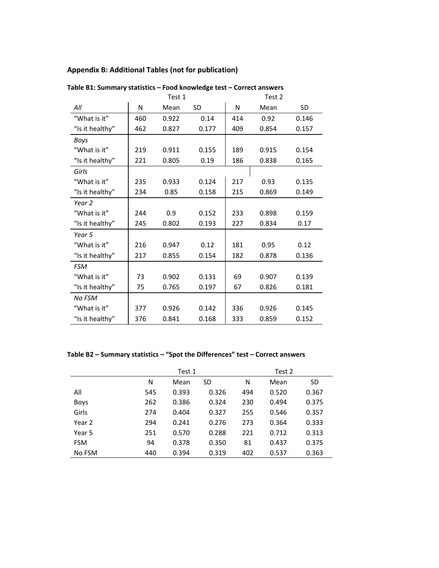## **Appendix B: Additional Tables (not for publication)**

|                 |     | Test 1 | Test 2    |     |       |           |
|-----------------|-----|--------|-----------|-----|-------|-----------|
| All             | N   | Mean   | <b>SD</b> | N   | Mean  | <b>SD</b> |
| "What is it"    | 460 | 0.922  | 0.14      | 414 | 0.92  | 0.146     |
| "Is it healthy" | 462 | 0.827  | 0.177     | 409 | 0.854 | 0.157     |
| <b>Boys</b>     |     |        |           |     |       |           |
| "What is it"    | 219 | 0.911  | 0.155     | 189 | 0.915 | 0.154     |
| "Is it healthy" | 221 | 0.805  | 0.19      | 186 | 0.838 | 0.165     |
| Girls           |     |        |           |     |       |           |
| "What is it"    | 235 | 0.933  | 0.124     | 217 | 0.93  | 0.135     |
| "Is it healthy" | 234 | 0.85   | 0.158     | 215 | 0.869 | 0.149     |
| Year 2          |     |        |           |     |       |           |
| "What is it"    | 244 | 0.9    | 0.152     | 233 | 0.898 | 0.159     |
| "Is it healthy" | 245 | 0.802  | 0.193     | 227 | 0.834 | 0.17      |
| Year 5          |     |        |           |     |       |           |
| "What is it"    | 216 | 0.947  | 0.12      | 181 | 0.95  | 0.12      |
| "Is it healthy" | 217 | 0.855  | 0.154     | 182 | 0.878 | 0.136     |
| <b>FSM</b>      |     |        |           |     |       |           |
| "What is it"    | 73  | 0.902  | 0.131     | 69  | 0.907 | 0.139     |
| "Is it healthy" | 75  | 0.765  | 0.197     | 67  | 0.826 | 0.181     |
| No FSM          |     |        |           |     |       |           |
| "What is it"    | 377 | 0.926  | 0.142     | 336 | 0.926 | 0.145     |
| "Is it healthy" | 376 | 0.841  | 0.168     | 333 | 0.859 | 0.152     |

**Table B1: Summary statistics – Food knowledge test – Correct answers**

**Table B2 – Summary statistics – "Spot the Differences" test – Correct answers**

|             |     | Test 1 |       |     | Test 2 |           |
|-------------|-----|--------|-------|-----|--------|-----------|
|             | N   | Mean   | SD    | Ν   | Mean   | <b>SD</b> |
| All         | 545 | 0.393  | 0.326 | 494 | 0.520  | 0.367     |
| <b>Boys</b> | 262 | 0.386  | 0.324 | 230 | 0.494  | 0.375     |
| Girls       | 274 | 0.404  | 0.327 | 255 | 0.546  | 0.357     |
| Year 2      | 294 | 0.241  | 0.276 | 273 | 0.364  | 0.333     |
| Year 5      | 251 | 0.570  | 0.288 | 221 | 0.712  | 0.313     |
| <b>FSM</b>  | 94  | 0.378  | 0.350 | 81  | 0.437  | 0.375     |
| No FSM      | 440 | 0.394  | 0.319 | 402 | 0.537  | 0.363     |